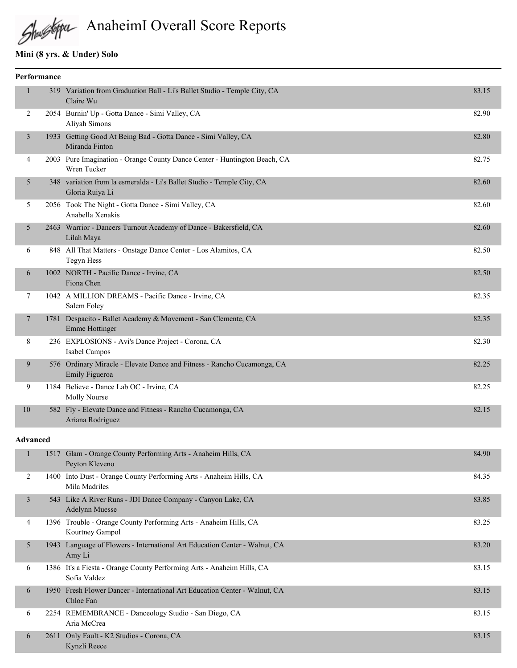# AnaheimI Overall Score Reports

## **Mini (8 yrs. & Under) Solo**

| Performance    |  |                                                                                           |       |  |  |
|----------------|--|-------------------------------------------------------------------------------------------|-------|--|--|
| 1              |  | 319 Variation from Graduation Ball - Li's Ballet Studio - Temple City, CA<br>Claire Wu    | 83.15 |  |  |
| 2              |  | 2054 Burnin' Up - Gotta Dance - Simi Valley, CA<br>Aliyah Simons                          | 82.90 |  |  |
| 3              |  | 1933 Getting Good At Being Bad - Gotta Dance - Simi Valley, CA<br>Miranda Finton          | 82.80 |  |  |
| $\overline{4}$ |  | 2003 Pure Imagination - Orange County Dance Center - Huntington Beach, CA<br>Wren Tucker  | 82.75 |  |  |
| 5              |  | 348 variation from la esmeralda - Li's Ballet Studio - Temple City, CA<br>Gloria Ruiya Li | 82.60 |  |  |
| 5              |  | 2056 Took The Night - Gotta Dance - Simi Valley, CA<br>Anabella Xenakis                   | 82.60 |  |  |
| 5              |  | 2463 Warrior - Dancers Turnout Academy of Dance - Bakersfield, CA<br>Lilah Maya           | 82.60 |  |  |
| 6              |  | 848 All That Matters - Onstage Dance Center - Los Alamitos, CA<br>Tegyn Hess              | 82.50 |  |  |
| 6              |  | 1002 NORTH - Pacific Dance - Irvine, CA<br>Fiona Chen                                     | 82.50 |  |  |
| 7              |  | 1042 A MILLION DREAMS - Pacific Dance - Irvine, CA<br>Salem Foley                         | 82.35 |  |  |
| 7              |  | 1781 Despacito - Ballet Academy & Movement - San Clemente, CA<br>Emme Hottinger           | 82.35 |  |  |
| 8              |  | 236 EXPLOSIONS - Avi's Dance Project - Corona, CA<br>Isabel Campos                        | 82.30 |  |  |
| 9              |  | 576 Ordinary Miracle - Elevate Dance and Fitness - Rancho Cucamonga, CA<br>Emily Figueroa | 82.25 |  |  |
| 9              |  | 1184 Believe - Dance Lab OC - Irvine, CA<br>Molly Nourse                                  | 82.25 |  |  |
| 10             |  | 582 Fly - Elevate Dance and Fitness - Rancho Cucamonga, CA<br>Ariana Rodriguez            | 82.15 |  |  |

#### **Advanced**

|   | 1517 | Glam - Orange County Performing Arts - Anaheim Hills, CA<br>Peyton Kleveno             | 84.90 |
|---|------|----------------------------------------------------------------------------------------|-------|
| 2 | 1400 | Into Dust - Orange County Performing Arts - Anaheim Hills, CA<br>Mila Madriles         | 84.35 |
| 3 | 543  | Like A River Runs - JDI Dance Company - Canyon Lake, CA<br><b>Adelynn Muesse</b>       | 83.85 |
| 4 |      | 1396 Trouble - Orange County Performing Arts - Anaheim Hills, CA<br>Kourtney Gampol    | 83.25 |
| 5 | 1943 | Language of Flowers - International Art Education Center - Walnut, CA<br>Amy Li        | 83.20 |
| 6 |      | 1386 It's a Fiesta - Orange County Performing Arts - Anaheim Hills, CA<br>Sofia Valdez | 83.15 |
| 6 | 1950 | Fresh Flower Dancer - International Art Education Center - Walnut, CA<br>Chloe Fan     | 83.15 |
| 6 |      | 2254 REMEMBRANCE - Danceology Studio - San Diego, CA<br>Aria McCrea                    | 83.15 |
| 6 | 2611 | Only Fault - K2 Studios - Corona, CA<br>Kynzli Reece                                   | 83.15 |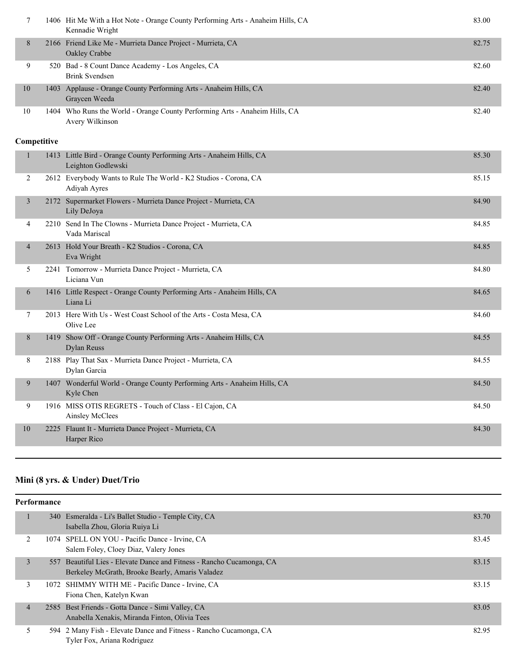|    | 1406 Hit Me With a Hot Note - Orange County Performing Arts - Anaheim Hills, CA<br>Kennadie Wright | 83.00 |
|----|----------------------------------------------------------------------------------------------------|-------|
| 8  | 2166 Friend Like Me - Murrieta Dance Project - Murrieta, CA<br>Oakley Crabbe                       | 82.75 |
| 9  | 520 Bad - 8 Count Dance Academy - Los Angeles, CA<br>Brink Svendsen                                | 82.60 |
| 10 | 1403 Applause - Orange County Performing Arts - Anaheim Hills, CA<br>Graycen Weeda                 | 82.40 |
| 10 | 1404 Who Runs the World - Orange County Performing Arts - Anaheim Hills, CA<br>Avery Wilkinson     | 82.40 |

## **Competitive**

| $\overline{2}$<br>2612 Everybody Wants to Rule The World - K2 Studios - Corona, CA<br>Adiyah Ayres<br>Supermarket Flowers - Murrieta Dance Project - Murrieta, CA<br>3<br>2172 | 85.15<br>84.90<br>84.85 |
|--------------------------------------------------------------------------------------------------------------------------------------------------------------------------------|-------------------------|
|                                                                                                                                                                                |                         |
| Lily DeJoya                                                                                                                                                                    |                         |
| 2210 Send In The Clowns - Murrieta Dance Project - Murrieta, CA<br>4<br>Vada Mariscal                                                                                          |                         |
| 2613 Hold Your Breath - K2 Studios - Corona, CA<br>4<br>Eva Wright                                                                                                             | 84.85                   |
| 2241 Tomorrow - Murrieta Dance Project - Murrieta, CA<br>5<br>Liciana Vun                                                                                                      | 84.80                   |
| 1416 Little Respect - Orange County Performing Arts - Anaheim Hills, CA<br>6<br>Liana Li                                                                                       | 84.65                   |
| 2013 Here With Us - West Coast School of the Arts - Costa Mesa, CA<br>7<br>Olive Lee                                                                                           | 84.60                   |
| Show Off - Orange County Performing Arts - Anaheim Hills, CA<br>8<br>1419<br><b>Dylan Reuss</b>                                                                                | 84.55                   |
| 8<br>2188 Play That Sax - Murrieta Dance Project - Murrieta, CA<br>Dylan Garcia                                                                                                | 84.55                   |
| 1407 Wonderful World - Orange County Performing Arts - Anaheim Hills, CA<br>9<br>Kyle Chen                                                                                     | 84.50                   |
| 9<br>1916 MISS OTIS REGRETS - Touch of Class - El Cajon, CA<br>Ainsley McClees                                                                                                 | 84.50                   |
| 10<br>Flaunt It - Murrieta Dance Project - Murrieta, CA<br>2225<br>Harper Rico                                                                                                 | 84.30                   |

## **Mini (8 yrs. & Under) Duet/Trio**

|                | Performance |                                                                                                                          |       |  |  |  |
|----------------|-------------|--------------------------------------------------------------------------------------------------------------------------|-------|--|--|--|
|                |             | 340 Esmeralda - Li's Ballet Studio - Temple City, CA<br>Isabella Zhou, Gloria Ruiya Li                                   | 83.70 |  |  |  |
| $\overline{2}$ |             | 1074 SPELL ON YOU - Pacific Dance - Irvine, CA<br>Salem Foley, Cloey Diaz, Valery Jones                                  | 83.45 |  |  |  |
| 3              |             | 557 Beautiful Lies - Elevate Dance and Fitness - Rancho Cucamonga, CA<br>Berkeley McGrath, Brooke Bearly, Amaris Valadez | 83.15 |  |  |  |
| 3              |             | 1072 SHIMMY WITH ME - Pacific Dance - Irvine, CA<br>Fiona Chen, Katelyn Kwan                                             | 83.15 |  |  |  |
| $\overline{4}$ |             | 2585 Best Friends - Gotta Dance - Simi Valley, CA<br>Anabella Xenakis, Miranda Finton, Olivia Tees                       | 83.05 |  |  |  |
| 5              | 594         | 2 Many Fish - Elevate Dance and Fitness - Rancho Cucamonga, CA<br>Tyler Fox, Ariana Rodriguez                            | 82.95 |  |  |  |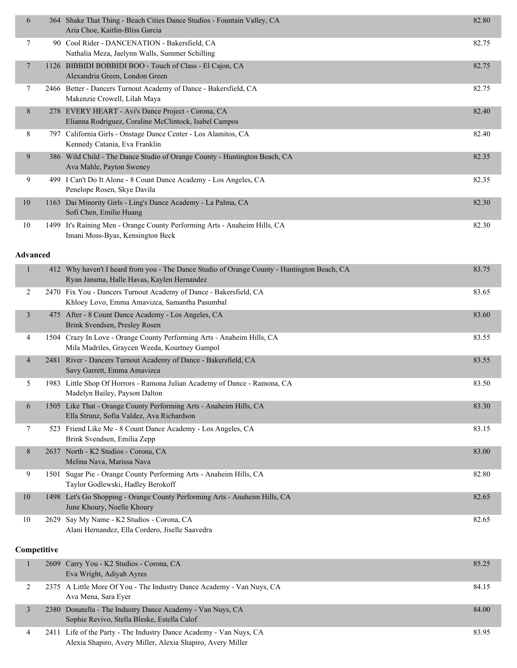| 6               |      | 364 Shake That Thing - Beach Cities Dance Studios - Fountain Valley, CA<br>Aria Choe, Kaitlin-Bliss Garcia                                | 82.80 |
|-----------------|------|-------------------------------------------------------------------------------------------------------------------------------------------|-------|
| 7               |      | 90 Cool Rider - DANCENATION - Bakersfield, CA<br>Nathalia Meza, Jaelynn Walls, Summer Schilling                                           | 82.75 |
| $\overline{7}$  |      | 1126 BIBBIDI BOBBIDI BOO - Touch of Class - El Cajon, CA<br>Alexandria Green, London Green                                                | 82.75 |
| 7               |      | 2466 Better - Dancers Turnout Academy of Dance - Bakersfield, CA<br>Makenzie Crowell, Lilah Maya                                          | 82.75 |
| 8               |      | 278 EVERY HEART - Avi's Dance Project - Corona, CA<br>Elianna Rodriguez, Coraline McClintock, Isabel Campos                               | 82.40 |
| 8               |      | 797 California Girls - Onstage Dance Center - Los Alamitos, CA<br>Kennedy Catania, Eva Franklin                                           | 82.40 |
| 9               |      | 386 Wild Child - The Dance Studio of Orange County - Huntington Beach, CA<br>Ava Mahle, Payton Sweney                                     | 82.35 |
| 9               |      | 499 I Can't Do It Alone - 8 Count Dance Academy - Los Angeles, CA<br>Penelope Rosen, Skye Davila                                          | 82.35 |
| 10              |      | 1163 Dai Minority Girls - Ling's Dance Academy - La Palma, CA<br>Sofi Chen, Emilie Huang                                                  | 82.30 |
| 10              |      | 1499 It's Raining Men - Orange County Performing Arts - Anaheim Hills, CA<br>Imani Moss-Byas, Kensington Beck                             | 82.30 |
| <b>Advanced</b> |      |                                                                                                                                           |       |
| 1               |      | 412 Why haven't I heard from you - The Dance Studio of Orange County - Huntington Beach, CA<br>Ryan Jansma, Halle Havas, Kaylen Hernandez | 83.75 |
| 2               |      | 2470 Fix You - Dancers Turnout Academy of Dance - Bakersfield, CA<br>Khloey Lovo, Emma Amavizca, Samantha Pasumbal                        | 83.65 |
| 3               |      | 475 After - 8 Count Dance Academy - Los Angeles, CA<br>Brink Svendsen, Presley Rosen                                                      | 83.60 |
| 4               |      | 1504 Crazy In Love - Orange County Performing Arts - Anaheim Hills, CA<br>Mila Madriles, Graycen Weeda, Kourtney Gampol                   | 83.55 |
| $\overline{4}$  | 2481 | River - Dancers Turnout Academy of Dance - Bakersfield, CA<br>Savy Garrett, Emma Amavizca                                                 | 83.55 |
| 5               |      | 1983 Little Shop Of Horrors - Ramona Julian Academy of Dance - Ramona, CA<br>Madelyn Bailey, Payson Dalton                                | 83.50 |
| 6               |      | 1505 Like That - Orange County Performing Arts - Anaheim Hills, CA<br>Ella Strunz, Sofia Valdez, Ava Richardson                           | 83.30 |
| 7               |      | 523 Friend Like Me - 8 Count Dance Academy - Los Angeles, CA<br>Brink Svendsen, Emilia Zepp                                               | 83.15 |
| 8               |      | 2637 North - K2 Studios - Corona, CA<br>Melina Nava, Marissa Nava                                                                         | 83.00 |
| 9               |      | 1501 Sugar Pie - Orange County Performing Arts - Anaheim Hills, CA<br>Taylor Godlewski, Hadley Berokoff                                   | 82.80 |
| 10              |      | 1498 Let's Go Shopping - Orange County Performing Arts - Anaheim Hills, CA<br>June Khoury, Noelle Khoury                                  | 82.65 |
| 10              | 2629 | Say My Name - K2 Studios - Corona, CA<br>Alani Hernandez, Ella Cordero, Jiselle Saavedra                                                  | 82.65 |
| Competitive     |      |                                                                                                                                           |       |

| 2609 Carry You - K2 Studios - Corona, CA<br>Eva Wright, Adiyah Ayres                                                             | 85.25 |
|----------------------------------------------------------------------------------------------------------------------------------|-------|
| 2375 A Little More Of You - The Industry Dance Academy - Van Nuys, CA<br>Ava Mena, Sara Ever                                     | 84.15 |
| 2380 Donatella - The Industry Dance Academy - Van Nuys, CA<br>Sophie Revivo, Stella Bleske, Estella Calof                        | 84.00 |
| 2411 Life of the Party - The Industry Dance Academy - Van Nuys, CA<br>Alexia Shapiro, Avery Miller, Alexia Shapiro, Avery Miller | 83.95 |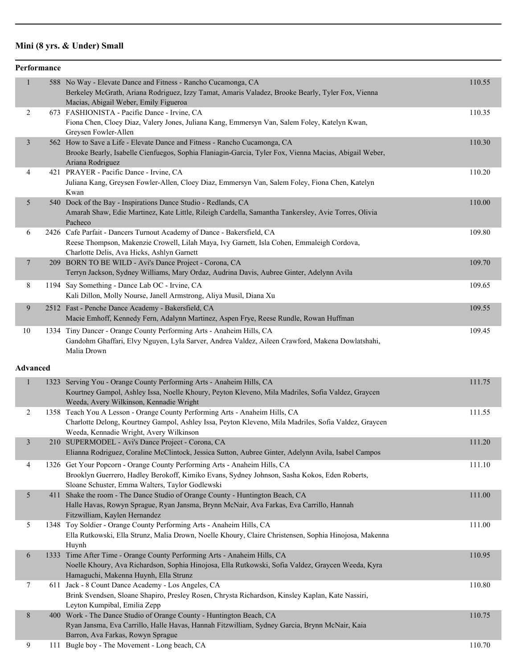## **Mini (8 yrs. & Under) Small**

|                 | Performance |                                                                                                                                                                                                                                |        |
|-----------------|-------------|--------------------------------------------------------------------------------------------------------------------------------------------------------------------------------------------------------------------------------|--------|
| $\mathbf{1}$    |             | 588 No Way - Elevate Dance and Fitness - Rancho Cucamonga, CA<br>Berkeley McGrath, Ariana Rodriguez, Izzy Tamat, Amaris Valadez, Brooke Bearly, Tyler Fox, Vienna                                                              | 110.55 |
|                 |             | Macias, Abigail Weber, Emily Figueroa                                                                                                                                                                                          |        |
| $\overline{c}$  |             | 673 FASHIONISTA - Pacific Dance - Irvine, CA<br>Fiona Chen, Cloey Diaz, Valery Jones, Juliana Kang, Emmersyn Van, Salem Foley, Katelyn Kwan,                                                                                   | 110.35 |
|                 |             | Greysen Fowler-Allen                                                                                                                                                                                                           |        |
| 3               |             | 562 How to Save a Life - Elevate Dance and Fitness - Rancho Cucamonga, CA<br>Brooke Bearly, Isabelle Cienfuegos, Sophia Flaniagin-Garcia, Tyler Fox, Vienna Macias, Abigail Weber,<br>Ariana Rodriguez                         | 110.30 |
| 4               |             | 421 PRAYER - Pacific Dance - Irvine, CA                                                                                                                                                                                        | 110.20 |
|                 |             | Juliana Kang, Greysen Fowler-Allen, Cloey Diaz, Emmersyn Van, Salem Foley, Fiona Chen, Katelyn<br>Kwan                                                                                                                         |        |
| 5               |             | 540 Dock of the Bay - Inspirations Dance Studio - Redlands, CA<br>Amarah Shaw, Edie Martinez, Kate Little, Rileigh Cardella, Samantha Tankersley, Avie Torres, Olivia<br>Pacheco                                               | 110.00 |
| 6               |             | 2426 Cafe Parfait - Dancers Turnout Academy of Dance - Bakersfield, CA<br>Reese Thompson, Makenzie Crowell, Lilah Maya, Ivy Garnett, Isla Cohen, Emmaleigh Cordova,<br>Charlotte Delis, Ava Hicks, Ashlyn Garnett              | 109.80 |
| $\mathcal{I}$   |             | 209 BORN TO BE WILD - Avi's Dance Project - Corona, CA<br>Terryn Jackson, Sydney Williams, Mary Ordaz, Audrina Davis, Aubree Ginter, Adelynn Avila                                                                             | 109.70 |
| 8               |             | 1194 Say Something - Dance Lab OC - Irvine, CA<br>Kali Dillon, Molly Nourse, Janell Armstrong, Aliya Musil, Diana Xu                                                                                                           | 109.65 |
| 9               |             | 2512 Fast - Penche Dance Academy - Bakersfield, CA<br>Macie Emhoff, Kennedy Fern, Adalynn Martinez, Aspen Frye, Reese Rundle, Rowan Huffman                                                                                    | 109.55 |
| 10              |             | 1334 Tiny Dancer - Orange County Performing Arts - Anaheim Hills, CA<br>Gandohm Ghaffari, Elvy Nguyen, Lyla Sarver, Andrea Valdez, Aileen Crawford, Makena Dowlatshahi,<br>Malia Drown                                         | 109.45 |
| <b>Advanced</b> |             |                                                                                                                                                                                                                                |        |
| 1               |             | 1323 Serving You - Orange County Performing Arts - Anaheim Hills, CA                                                                                                                                                           | 111.75 |
|                 |             | Kourtney Gampol, Ashley Issa, Noelle Khoury, Peyton Kleveno, Mila Madriles, Sofia Valdez, Graycen<br>Weeda, Avery Wilkinson, Kennadie Wright                                                                                   |        |
| $\overline{2}$  |             | 1358 Teach You A Lesson - Orange County Performing Arts - Anaheim Hills, CA<br>Charlotte Delong, Kourtney Gampol, Ashley Issa, Peyton Kleveno, Mila Madriles, Sofia Valdez, Graycen<br>Weeda, Kennadie Wright, Avery Wilkinson | 111.55 |
| 3               |             | 210 SUPERMODEL - Avi's Dance Project - Corona, CA                                                                                                                                                                              | 111.20 |
|                 |             | Elianna Rodriguez, Coraline McClintock, Jessica Sutton, Aubree Ginter, Adelynn Avila, Isabel Campos                                                                                                                            |        |
| 4               |             | 1326 Get Your Popcorn - Orange County Performing Arts - Anaheim Hills, CA                                                                                                                                                      | 111.10 |
|                 |             | Brooklyn Guerrero, Hadley Berokoff, Kimiko Evans, Sydney Johnson, Sasha Kokos, Eden Roberts,<br>Sloane Schuster, Emma Walters, Taylor Godlewski                                                                                |        |
| 5               |             | 411 Shake the room - The Dance Studio of Orange County - Huntington Beach, CA<br>Halle Havas, Rowyn Sprague, Ryan Jansma, Brynn McNair, Ava Farkas, Eva Carrillo, Hannah<br>Fitzwilliam, Kaylen Hernandez                      | 111.00 |
| 5               |             | 1348 Toy Soldier - Orange County Performing Arts - Anaheim Hills, CA<br>Ella Rutkowski, Ella Strunz, Malia Drown, Noelle Khoury, Claire Christensen, Sophia Hinojosa, Makenna<br>Huynh                                         | 111.00 |
| 6               |             | 1333 Time After Time - Orange County Performing Arts - Anaheim Hills, CA<br>Noelle Khoury, Ava Richardson, Sophia Hinojosa, Ella Rutkowski, Sofia Valdez, Graycen Weeda, Kyra<br>Hamaguchi, Makenna Huynh, Ella Strunz         | 110.95 |
| 7               |             | 611 Jack - 8 Count Dance Academy - Los Angeles, CA<br>Brink Svendsen, Sloane Shapiro, Presley Rosen, Chrysta Richardson, Kinsley Kaplan, Kate Nassiri,<br>Leyton Kumpibal, Emilia Zepp                                         | 110.80 |
| 8               |             | 400 Work - The Dance Studio of Orange County - Huntington Beach, CA                                                                                                                                                            | 110.75 |
|                 |             | Ryan Jansma, Eva Carrillo, Halle Havas, Hannah Fitzwilliam, Sydney Garcia, Brynn McNair, Kaia                                                                                                                                  |        |
| 9               |             | Barron, Ava Farkas, Rowyn Sprague<br>111 Bugle boy - The Movement - Long beach, CA                                                                                                                                             | 110.70 |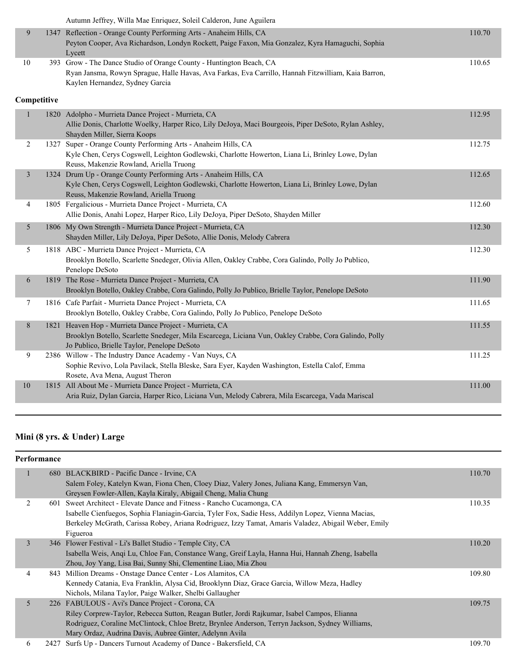|    | Autumn Jeffrey, Willa Mae Enriquez, Soleil Calderon, June Aguilera                                  |        |
|----|-----------------------------------------------------------------------------------------------------|--------|
|    | 1347 Reflection - Orange County Performing Arts - Anaheim Hills, CA                                 | 110.70 |
|    | Peyton Cooper, Ava Richardson, Londyn Rockett, Paige Faxon, Mia Gonzalez, Kyra Hamaguchi, Sophia    |        |
|    | Lycett                                                                                              |        |
| 10 | 393 Grow - The Dance Studio of Orange County - Huntington Beach, CA                                 | 110.65 |
|    | Ryan Jansma, Rowyn Sprague, Halle Havas, Ava Farkas, Eva Carrillo, Hannah Fitzwilliam, Kaia Barron, |        |
|    | Kaylen Hernandez, Sydney Garcia                                                                     |        |
|    |                                                                                                     |        |

## **Competitive**

|                |      | 1820 Adolpho - Murrieta Dance Project - Murrieta, CA                                                                                                      | 112.95 |
|----------------|------|-----------------------------------------------------------------------------------------------------------------------------------------------------------|--------|
|                |      | Allie Donis, Charlotte Woelky, Harper Rico, Lily DeJoya, Maci Bourgeois, Piper DeSoto, Rylan Ashley,<br>Shayden Miller, Sierra Koops                      |        |
| 2              | 1327 | Super - Orange County Performing Arts - Anaheim Hills, CA                                                                                                 | 112.75 |
|                |      | Kyle Chen, Cerys Cogswell, Leighton Godlewski, Charlotte Howerton, Liana Li, Brinley Lowe, Dylan                                                          |        |
| $\overline{3}$ |      | Reuss, Makenzie Rowland, Ariella Truong<br>1324 Drum Up - Orange County Performing Arts - Anaheim Hills, CA                                               | 112.65 |
|                |      | Kyle Chen, Cerys Cogswell, Leighton Godlewski, Charlotte Howerton, Liana Li, Brinley Lowe, Dylan                                                          |        |
|                |      | Reuss, Makenzie Rowland, Ariella Truong                                                                                                                   |        |
| 4              |      | 1805 Fergalicious - Murrieta Dance Project - Murrieta, CA                                                                                                 | 112.60 |
|                |      | Allie Donis, Anahi Lopez, Harper Rico, Lily DeJoya, Piper DeSoto, Shayden Miller                                                                          |        |
| 5              |      | 1806 My Own Strength - Murrieta Dance Project - Murrieta, CA                                                                                              | 112.30 |
|                |      | Shayden Miller, Lily DeJoya, Piper DeSoto, Allie Donis, Melody Cabrera                                                                                    |        |
| 5              |      | 1818 ABC - Murrieta Dance Project - Murrieta, CA                                                                                                          | 112.30 |
|                |      | Brooklyn Botello, Scarlette Snedeger, Olivia Allen, Oakley Crabbe, Cora Galindo, Polly Jo Publico,<br>Penelope DeSoto                                     |        |
| 6              |      | 1819 The Rose - Murrieta Dance Project - Murrieta, CA                                                                                                     | 111.90 |
|                |      | Brooklyn Botello, Oakley Crabbe, Cora Galindo, Polly Jo Publico, Brielle Taylor, Penelope DeSoto                                                          |        |
| 7              |      | 1816 Cafe Parfait - Murrieta Dance Project - Murrieta, CA                                                                                                 | 111.65 |
|                |      | Brooklyn Botello, Oakley Crabbe, Cora Galindo, Polly Jo Publico, Penelope DeSoto                                                                          |        |
| 8              |      | 1821 Heaven Hop - Murrieta Dance Project - Murrieta, CA                                                                                                   | 111.55 |
|                |      | Brooklyn Botello, Scarlette Snedeger, Mila Escarcega, Liciana Vun, Oakley Crabbe, Cora Galindo, Polly                                                     |        |
|                |      | Jo Publico, Brielle Taylor, Penelope DeSoto                                                                                                               |        |
| 9              |      | 2386 Willow - The Industry Dance Academy - Van Nuys, CA<br>Sophie Revivo, Lola Pavilack, Stella Bleske, Sara Eyer, Kayden Washington, Estella Calof, Emma | 111.25 |
|                |      | Rosete, Ava Mena, August Theron                                                                                                                           |        |
| 10             |      | 1815 All About Me - Murrieta Dance Project - Murrieta, CA                                                                                                 | 111.00 |
|                |      | Aria Ruiz, Dylan Garcia, Harper Rico, Liciana Vun, Melody Cabrera, Mila Escarcega, Vada Mariscal                                                          |        |
|                |      |                                                                                                                                                           |        |

## **Mini (8 yrs. & Under) Large**

### **Performance**

|   | 680 BLACKBIRD - Pacific Dance - Irvine, CA                                                          | 110.70 |
|---|-----------------------------------------------------------------------------------------------------|--------|
|   | Salem Foley, Katelyn Kwan, Fiona Chen, Cloey Diaz, Valery Jones, Juliana Kang, Emmersyn Van,        |        |
|   | Greysen Fowler-Allen, Kayla Kiraly, Abigail Cheng, Malia Chung                                      |        |
|   | 601 Sweet Architect - Elevate Dance and Fitness - Rancho Cucamonga, CA                              | 110.35 |
|   | Isabelle Cienfuegos, Sophia Flaniagin-Garcia, Tyler Fox, Sadie Hess, Addilyn Lopez, Vienna Macias,  |        |
|   | Berkeley McGrath, Carissa Robey, Ariana Rodriguez, Izzy Tamat, Amaris Valadez, Abigail Weber, Emily |        |
|   | Figueroa                                                                                            |        |
| 3 | 346 Flower Festival - Li's Ballet Studio - Temple City, CA                                          | 110.20 |
|   | Isabella Weis, Angi Lu, Chloe Fan, Constance Wang, Greif Layla, Hanna Hui, Hannah Zheng, Isabella   |        |
|   | Zhou, Joy Yang, Lisa Bai, Sunny Shi, Clementine Liao, Mia Zhou                                      |        |
| 4 | 843 Million Dreams - Onstage Dance Center - Los Alamitos, CA                                        | 109.80 |
|   | Kennedy Catania, Eva Franklin, Alysa Cid, Brooklynn Diaz, Grace Garcia, Willow Meza, Hadley         |        |
|   | Nichols, Milana Taylor, Paige Walker, Shelbi Gallaugher                                             |        |
| 5 | 226 FABULOUS - Avi's Dance Project - Corona, CA                                                     | 109.75 |
|   | Riley Corprew-Taylor, Rebecca Sutton, Reagan Butler, Jordi Rajkumar, Isabel Campos, Elianna         |        |
|   | Rodriguez, Coraline McClintock, Chloe Bretz, Brynlee Anderson, Terryn Jackson, Sydney Williams,     |        |
|   | Mary Ordaz, Audrina Davis, Aubree Ginter, Adelynn Avila                                             |        |
| 6 | 2427 Surfs Up - Dancers Turnout Academy of Dance - Bakersfield, CA                                  | 109.70 |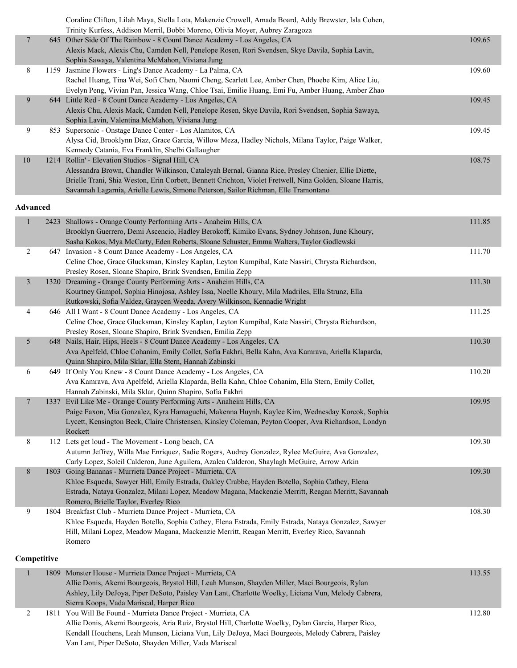|    | Coraline Clifton, Lilah Maya, Stella Lota, Makenzie Crowell, Amada Board, Addy Brewster, Isla Cohen,     |        |
|----|----------------------------------------------------------------------------------------------------------|--------|
|    | Trinity Kurfess, Addison Merril, Bobbi Moreno, Olivia Moyer, Aubrey Zaragoza                             |        |
| 7  | 645 Other Side Of The Rainbow - 8 Count Dance Academy - Los Angeles, CA                                  | 109.65 |
|    | Alexis Mack, Alexis Chu, Camden Nell, Penelope Rosen, Rori Svendsen, Skye Davila, Sophia Lavin,          |        |
|    | Sophia Sawaya, Valentina McMahon, Viviana Jung                                                           |        |
| 8  | 1159 Jasmine Flowers - Ling's Dance Academy - La Palma, CA                                               | 109.60 |
|    | Rachel Huang, Tina Wei, Sofi Chen, Naomi Cheng, Scarlett Lee, Amber Chen, Phoebe Kim, Alice Liu,         |        |
|    | Evelyn Peng, Vivian Pan, Jessica Wang, Chloe Tsai, Emilie Huang, Emi Fu, Amber Huang, Amber Zhao         |        |
| 9  | 644 Little Red - 8 Count Dance Academy - Los Angeles, CA                                                 | 109.45 |
|    | Alexis Chu, Alexis Mack, Camden Nell, Penelope Rosen, Skye Davila, Rori Svendsen, Sophia Sawaya,         |        |
|    | Sophia Lavin, Valentina McMahon, Viviana Jung                                                            |        |
| 9  | 853 Supersonic - Onstage Dance Center - Los Alamitos, CA                                                 | 109.45 |
|    | Alysa Cid, Brooklynn Diaz, Grace Garcia, Willow Meza, Hadley Nichols, Milana Taylor, Paige Walker,       |        |
|    | Kennedy Catania, Eva Franklin, Shelbi Gallaugher                                                         |        |
| 10 | 1214 Rollin' - Elevation Studios - Signal Hill, CA                                                       | 108.75 |
|    | Alessandra Brown, Chandler Wilkinson, Cataleyah Bernal, Gianna Rice, Presley Chenier, Ellie Diette,      |        |
|    | Brielle Trani, Shia Weston, Erin Corbett, Bennett Crichton, Violet Fretwell, Nina Golden, Sloane Harris, |        |
|    | Savannah Lagarnia, Arielle Lewis, Simone Peterson, Sailor Richman, Elle Tramontano                       |        |

#### **Advanced**

| $\mathbf{1}$   | 2423 Shallows - Orange County Performing Arts - Anaheim Hills, CA<br>Brooklyn Guerrero, Demi Ascencio, Hadley Berokoff, Kimiko Evans, Sydney Johnson, June Khoury, | 111.85 |
|----------------|--------------------------------------------------------------------------------------------------------------------------------------------------------------------|--------|
|                | Sasha Kokos, Mya McCarty, Eden Roberts, Sloane Schuster, Emma Walters, Taylor Godlewski                                                                            |        |
| $\overline{2}$ | 647 Invasion - 8 Count Dance Academy - Los Angeles, CA                                                                                                             | 111.70 |
|                | Celine Choe, Grace Glucksman, Kinsley Kaplan, Leyton Kumpibal, Kate Nassiri, Chrysta Richardson,                                                                   |        |
|                | Presley Rosen, Sloane Shapiro, Brink Svendsen, Emilia Zepp                                                                                                         |        |
| $\overline{3}$ | 1320 Dreaming - Orange County Performing Arts - Anaheim Hills, CA                                                                                                  | 111.30 |
|                | Kourtney Gampol, Sophia Hinojosa, Ashley Issa, Noelle Khoury, Mila Madriles, Ella Strunz, Ella                                                                     |        |
|                | Rutkowski, Sofia Valdez, Graycen Weeda, Avery Wilkinson, Kennadie Wright                                                                                           |        |
| 4              | 646 All I Want - 8 Count Dance Academy - Los Angeles, CA                                                                                                           | 111.25 |
|                | Celine Choe, Grace Glucksman, Kinsley Kaplan, Leyton Kumpibal, Kate Nassiri, Chrysta Richardson,                                                                   |        |
|                | Presley Rosen, Sloane Shapiro, Brink Svendsen, Emilia Zepp                                                                                                         |        |
| 5 <sup>5</sup> | 648 Nails, Hair, Hips, Heels - 8 Count Dance Academy - Los Angeles, CA                                                                                             | 110.30 |
|                | Ava Apelfeld, Chloe Cohanim, Emily Collet, Sofia Fakhri, Bella Kahn, Ava Kamrava, Ariella Klaparda,                                                                |        |
|                | Quinn Shapiro, Mila Sklar, Ella Stern, Hannah Zabinski                                                                                                             |        |
| 6              | 649 If Only You Knew - 8 Count Dance Academy - Los Angeles, CA                                                                                                     | 110.20 |
|                | Ava Kamrava, Ava Apelfeld, Ariella Klaparda, Bella Kahn, Chloe Cohanim, Ella Stern, Emily Collet,                                                                  |        |
|                | Hannah Zabinski, Mila Sklar, Quinn Shapiro, Sofia Fakhri                                                                                                           |        |
| $\tau$         | 1337 Evil Like Me - Orange County Performing Arts - Anaheim Hills, CA                                                                                              | 109.95 |
|                | Paige Faxon, Mia Gonzalez, Kyra Hamaguchi, Makenna Huynh, Kaylee Kim, Wednesday Korcok, Sophia                                                                     |        |
|                | Lycett, Kensington Beck, Claire Christensen, Kinsley Coleman, Peyton Cooper, Ava Richardson, Londyn                                                                |        |
|                | Rockett                                                                                                                                                            |        |
| 8              | 112 Lets get loud - The Movement - Long beach, CA<br>Autumn Jeffrey, Willa Mae Enriquez, Sadie Rogers, Audrey Gonzalez, Rylee McGuire, Ava Gonzalez,               | 109.30 |
|                | Carly Lopez, Soleil Calderon, June Aguilera, Azalea Calderon, Shaylagh McGuire, Arrow Arkin                                                                        |        |
| $8\,$          | 1803 Going Bananas - Murrieta Dance Project - Murrieta, CA                                                                                                         | 109.30 |
|                | Khloe Esqueda, Sawyer Hill, Emily Estrada, Oakley Crabbe, Hayden Botello, Sophia Cathey, Elena                                                                     |        |
|                | Estrada, Nataya Gonzalez, Milani Lopez, Meadow Magana, Mackenzie Merritt, Reagan Merritt, Savannah                                                                 |        |
|                | Romero, Brielle Taylor, Everley Rico                                                                                                                               |        |
| 9              | 1804 Breakfast Club - Murrieta Dance Project - Murrieta, CA                                                                                                        | 108.30 |
|                | Khloe Esqueda, Hayden Botello, Sophia Cathey, Elena Estrada, Emily Estrada, Nataya Gonzalez, Sawyer                                                                |        |
|                | Hill, Milani Lopez, Meadow Magana, Mackenzie Merritt, Reagan Merritt, Everley Rico, Savannah                                                                       |        |
|                | Romero                                                                                                                                                             |        |
|                |                                                                                                                                                                    |        |
| Competitive    |                                                                                                                                                                    |        |

#### 1 1809 Monster House - Murrieta Dance Project - Murrieta, CA 113.55 Allie Donis, Akemi Bourgeois, Brystol Hill, Leah Munson, Shayden Miller, Maci Bourgeois, Rylan Ashley, Lily DeJoya, Piper DeSoto, Paisley Van Lant, Charlotte Woelky, Liciana Vun, Melody Cabrera, Sierra Koops, Vada Mariscal, Harper Rico 2 1811 You Will Be Found - Murrieta Dance Project - Murrieta, CA 112.80 Allie Donis, Akemi Bourgeois, Aria Ruiz, Brystol Hill, Charlotte Woelky, Dylan Garcia, Harper Rico, Kendall Houchens, Leah Munson, Liciana Vun, Lily DeJoya, Maci Bourgeois, Melody Cabrera, Paisley Van Lant, Piper DeSoto, Shayden Miller, Vada Mariscal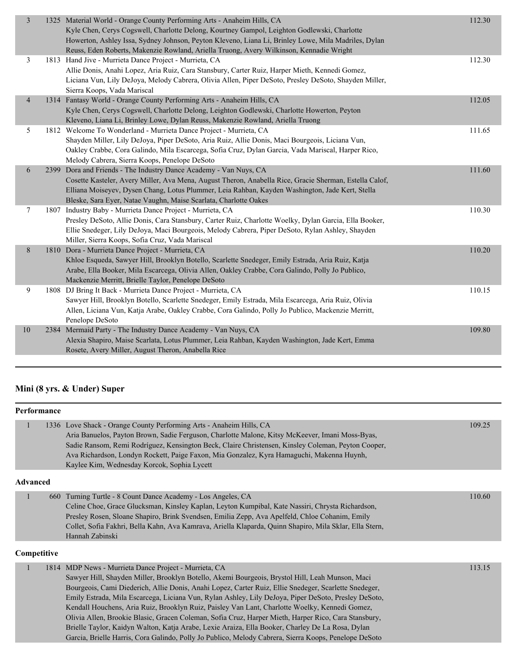| 3              | 1325 Material World - Orange County Performing Arts - Anaheim Hills, CA<br>Kyle Chen, Cerys Cogswell, Charlotte Delong, Kourtney Gampol, Leighton Godlewski, Charlotte<br>Howerton, Ashley Issa, Sydney Johnson, Peyton Kleveno, Liana Li, Brinley Lowe, Mila Madriles, Dylan<br>Reuss, Eden Roberts, Makenzie Rowland, Ariella Truong, Avery Wilkinson, Kennadie Wright | 112.30 |
|----------------|--------------------------------------------------------------------------------------------------------------------------------------------------------------------------------------------------------------------------------------------------------------------------------------------------------------------------------------------------------------------------|--------|
| 3              | 1813 Hand Jive - Murrieta Dance Project - Murrieta, CA<br>Allie Donis, Anahi Lopez, Aria Ruiz, Cara Stansbury, Carter Ruiz, Harper Mieth, Kennedi Gomez,<br>Liciana Vun, Lily DeJoya, Melody Cabrera, Olivia Allen, Piper DeSoto, Presley DeSoto, Shayden Miller,<br>Sierra Koops, Vada Mariscal                                                                         | 112.30 |
| $\overline{4}$ | 1314 Fantasy World - Orange County Performing Arts - Anaheim Hills, CA<br>Kyle Chen, Cerys Cogswell, Charlotte Delong, Leighton Godlewski, Charlotte Howerton, Peyton<br>Kleveno, Liana Li, Brinley Lowe, Dylan Reuss, Makenzie Rowland, Ariella Truong                                                                                                                  | 112.05 |
| 5              | 1812 Welcome To Wonderland - Murrieta Dance Project - Murrieta, CA<br>Shayden Miller, Lily DeJoya, Piper DeSoto, Aria Ruiz, Allie Donis, Maci Bourgeois, Liciana Vun,<br>Oakley Crabbe, Cora Galindo, Mila Escarcega, Sofia Cruz, Dylan Garcia, Vada Mariscal, Harper Rico,<br>Melody Cabrera, Sierra Koops, Penelope DeSoto                                             | 111.65 |
| 6              | 2399 Dora and Friends - The Industry Dance Academy - Van Nuys, CA<br>Cosette Kasteler, Avery Miller, Ava Mena, August Theron, Anabella Rice, Gracie Sherman, Estella Calof,<br>Elliana Moiseyev, Dysen Chang, Lotus Plummer, Leia Rahban, Kayden Washington, Jade Kert, Stella<br>Bleske, Sara Eyer, Natae Vaughn, Maise Scarlata, Charlotte Oakes                       | 111.60 |
| 7              | 1807 Industry Baby - Murrieta Dance Project - Murrieta, CA<br>Presley DeSoto, Allie Donis, Cara Stansbury, Carter Ruiz, Charlotte Woelky, Dylan Garcia, Ella Booker,<br>Ellie Snedeger, Lily DeJoya, Maci Bourgeois, Melody Cabrera, Piper DeSoto, Rylan Ashley, Shayden<br>Miller, Sierra Koops, Sofia Cruz, Vada Mariscal                                              | 110.30 |
| 8              | 1810 Dora - Murrieta Dance Project - Murrieta, CA<br>Khloe Esqueda, Sawyer Hill, Brooklyn Botello, Scarlette Snedeger, Emily Estrada, Aria Ruiz, Katja<br>Arabe, Ella Booker, Mila Escarcega, Olivia Allen, Oakley Crabbe, Cora Galindo, Polly Jo Publico,<br>Mackenzie Merritt, Brielle Taylor, Penelope DeSoto                                                         | 110.20 |
| 9              | 1808 DJ Bring It Back - Murrieta Dance Project - Murrieta, CA<br>Sawyer Hill, Brooklyn Botello, Scarlette Snedeger, Emily Estrada, Mila Escarcega, Aria Ruiz, Olivia<br>Allen, Liciana Vun, Katja Arabe, Oakley Crabbe, Cora Galindo, Polly Jo Publico, Mackenzie Merritt,<br>Penelope DeSoto                                                                            | 110.15 |
| 10             | 2384 Mermaid Party - The Industry Dance Academy - Van Nuys, CA<br>Alexia Shapiro, Maise Scarlata, Lotus Plummer, Leia Rahban, Kayden Washington, Jade Kert, Emma<br>Rosete, Avery Miller, August Theron, Anabella Rice                                                                                                                                                   | 109.80 |
|                |                                                                                                                                                                                                                                                                                                                                                                          |        |

## **Mini (8 yrs. & Under) Super**

|                 | <b>Performance</b> |                                                                                                                                                                                                                                                                                                                                                                                                                                                                                                                                                                                     |        |
|-----------------|--------------------|-------------------------------------------------------------------------------------------------------------------------------------------------------------------------------------------------------------------------------------------------------------------------------------------------------------------------------------------------------------------------------------------------------------------------------------------------------------------------------------------------------------------------------------------------------------------------------------|--------|
| 1               |                    | 1336 Love Shack - Orange County Performing Arts - Anaheim Hills, CA<br>Aria Banuelos, Payton Brown, Sadie Ferguson, Charlotte Malone, Kitsy McKeever, Imani Moss-Byas,<br>Sadie Ransom, Remi Rodríguez, Kensington Beck, Claire Christensen, Kinsley Coleman, Peyton Cooper,<br>Ava Richardson, Londyn Rockett, Paige Faxon, Mia Gonzalez, Kyra Hamaguchi, Makenna Huynh,<br>Kaylee Kim, Wednesday Korcok, Sophia Lycett                                                                                                                                                            | 109.25 |
| <b>Advanced</b> |                    |                                                                                                                                                                                                                                                                                                                                                                                                                                                                                                                                                                                     |        |
| $\mathbf{1}$    | 660                | Turning Turtle - 8 Count Dance Academy - Los Angeles, CA<br>Celine Choe, Grace Glucksman, Kinsley Kaplan, Leyton Kumpibal, Kate Nassiri, Chrysta Richardson,<br>Presley Rosen, Sloane Shapiro, Brink Svendsen, Emilia Zepp, Ava Apelfeld, Chloe Cohanim, Emily<br>Collet, Sofia Fakhri, Bella Kahn, Ava Kamrava, Ariella Klaparda, Quinn Shapiro, Mila Sklar, Ella Stern,<br>Hannah Zabinski                                                                                                                                                                                        | 110.60 |
|                 | Competitive        |                                                                                                                                                                                                                                                                                                                                                                                                                                                                                                                                                                                     |        |
| 1               |                    | 1814 MDP News - Murrieta Dance Project - Murrieta, CA<br>Sawyer Hill, Shayden Miller, Brooklyn Botello, Akemi Bourgeois, Brystol Hill, Leah Munson, Maci<br>Bourgeois, Cami Diederich, Allie Donis, Anahi Lopez, Carter Ruiz, Ellie Snedeger, Scarlette Snedeger,<br>Emily Estrada, Mila Escarcega, Liciana Vun, Rylan Ashley, Lily DeJoya, Piper DeSoto, Presley DeSoto,<br>Kendall Houchens, Aria Ruiz, Brooklyn Ruiz, Paisley Van Lant, Charlotte Woelky, Kennedi Gomez,<br>Olivia Allen, Brookie Blasic, Gracen Coleman, Sofia Cruz, Harper Mieth, Harper Rico, Cara Stansbury, | 113.15 |

Brielle Taylor, Kaidyn Walton, Katja Arabe, Lexie Araiza, Ella Booker, Charley De La Rosa, Dylan Garcia, Brielle Harris, Cora Galindo, Polly Jo Publico, Melody Cabrera, Sierra Koops, Penelope DeSoto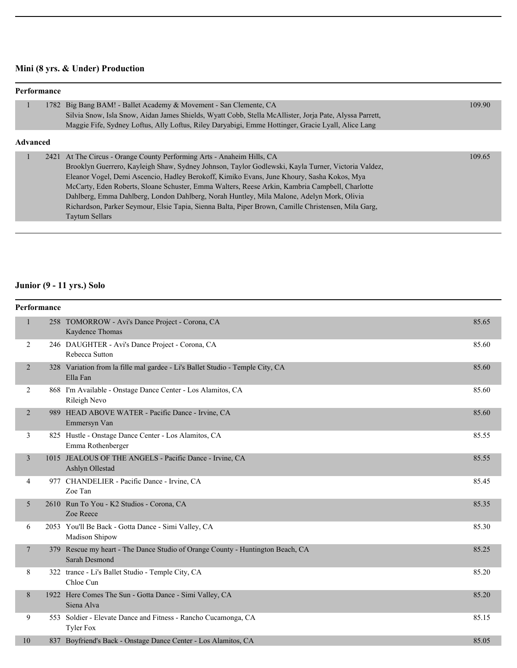## **Mini (8 yrs. & Under) Production**

| Performance     |                                                                                                                                                                                                                                                                                                                                                                                                                                                                                                                                                                                                    |        |
|-----------------|----------------------------------------------------------------------------------------------------------------------------------------------------------------------------------------------------------------------------------------------------------------------------------------------------------------------------------------------------------------------------------------------------------------------------------------------------------------------------------------------------------------------------------------------------------------------------------------------------|--------|
|                 | 1782 Big Bang BAM! - Ballet Academy & Movement - San Clemente, CA<br>Silvia Snow, Isla Snow, Aidan James Shields, Wyatt Cobb, Stella McAllister, Joria Pate, Alyssa Parrett,<br>Maggie Fife, Sydney Loftus, Ally Loftus, Riley Daryabigi, Emme Hottinger, Gracie Lyall, Alice Lang                                                                                                                                                                                                                                                                                                                 | 109.90 |
| <b>Advanced</b> |                                                                                                                                                                                                                                                                                                                                                                                                                                                                                                                                                                                                    |        |
|                 | 2421 At The Circus - Orange County Performing Arts - Anaheim Hills, CA<br>Brooklyn Guerrero, Kayleigh Shaw, Sydney Johnson, Taylor Godlewski, Kayla Turner, Victoria Valdez,<br>Eleanor Vogel, Demi Ascencio, Hadley Berokoff, Kimiko Evans, June Khoury, Sasha Kokos, Mya<br>McCarty, Eden Roberts, Sloane Schuster, Emma Walters, Reese Arkin, Kambria Campbell, Charlotte<br>Dahlberg, Emma Dahlberg, London Dahlberg, Norah Huntley, Mila Malone, Adelyn Mork, Olivia<br>Richardson, Parker Seymour, Elsie Tapia, Sienna Balta, Piper Brown, Camille Christensen, Mila Garg,<br>Taytum Sellars | 109.65 |

## **Junior (9 - 11 yrs.) Solo**

|                | Performance |                                                                                                 |       |
|----------------|-------------|-------------------------------------------------------------------------------------------------|-------|
| $\mathbf{1}$   |             | 258 TOMORROW - Avi's Dance Project - Corona, CA<br>Kaydence Thomas                              | 85.65 |
| 2              |             | 246 DAUGHTER - Avi's Dance Project - Corona, CA<br>Rebecca Sutton                               | 85.60 |
| $\overline{2}$ |             | 328 Variation from la fille mal gardee - Li's Ballet Studio - Temple City, CA<br>Ella Fan       | 85.60 |
| 2              |             | 868 I'm Available - Onstage Dance Center - Los Alamitos, CA<br>Rileigh Nevo                     | 85.60 |
| 2              |             | 989 HEAD ABOVE WATER - Pacific Dance - Irvine, CA<br>Emmersyn Van                               | 85.60 |
| 3              |             | 825 Hustle - Onstage Dance Center - Los Alamitos, CA<br>Emma Rothenberger                       | 85.55 |
| 3              |             | 1015 JEALOUS OF THE ANGELS - Pacific Dance - Irvine, CA<br>Ashlyn Ollestad                      | 85.55 |
| $\overline{4}$ |             | 977 CHANDELIER - Pacific Dance - Irvine, CA<br>Zoe Tan                                          | 85.45 |
| 5              |             | 2610 Run To You - K2 Studios - Corona, CA<br>Zoe Reece                                          | 85.35 |
| 6              |             | 2053 You'll Be Back - Gotta Dance - Simi Valley, CA<br>Madison Shipow                           | 85.30 |
| 7              |             | 379 Rescue my heart - The Dance Studio of Orange County - Huntington Beach, CA<br>Sarah Desmond | 85.25 |
| 8              |             | 322 trance - Li's Ballet Studio - Temple City, CA<br>Chloe Cun                                  | 85.20 |
| 8              |             | 1922 Here Comes The Sun - Gotta Dance - Simi Valley, CA<br>Siena Alva                           | 85.20 |
| 9              |             | 553 Soldier - Elevate Dance and Fitness - Rancho Cucamonga, CA<br><b>Tyler Fox</b>              | 85.15 |
| 10             |             | 837 Boyfriend's Back - Onstage Dance Center - Los Alamitos, CA                                  | 85.05 |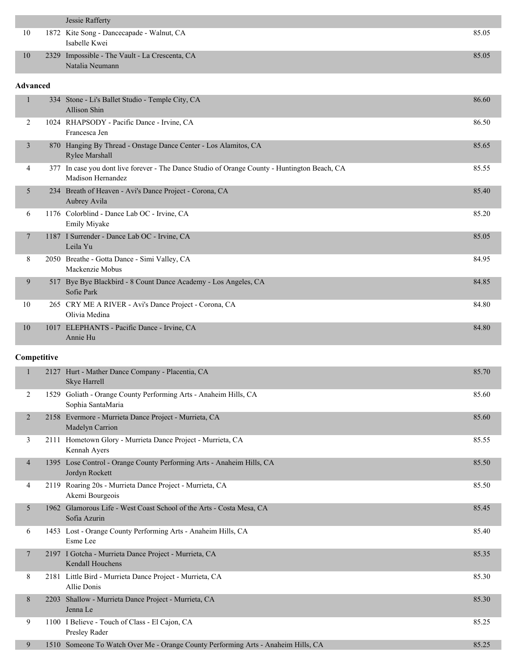|    | Jessie Rafferty                                                   |       |
|----|-------------------------------------------------------------------|-------|
| 10 | 1872 Kite Song - Dancecapade - Walnut, CA<br>Isabelle Kwei        | 85.05 |
| 10 | 2329 Impossible - The Vault - La Crescenta, CA<br>Natalia Neumann | 85.05 |

#### **Advanced**

|                |      | 334 Stone - Li's Ballet Studio - Temple City, CA<br>Allison Shin                                              | 86.60 |
|----------------|------|---------------------------------------------------------------------------------------------------------------|-------|
| $\overline{2}$ |      | 1024 RHAPSODY - Pacific Dance - Irvine, CA<br>Francesca Jen                                                   | 86.50 |
| 3              | 870  | Hanging By Thread - Onstage Dance Center - Los Alamitos, CA<br>Rylee Marshall                                 | 85.65 |
| 4              | 377  | In case you dont live forever - The Dance Studio of Orange County - Huntington Beach, CA<br>Madison Hernandez | 85.55 |
| 5              | 234  | Breath of Heaven - Avi's Dance Project - Corona, CA<br>Aubrey Avila                                           | 85.40 |
| 6              |      | 1176 Colorblind - Dance Lab OC - Irvine, CA<br><b>Emily Miyake</b>                                            | 85.20 |
| 7              |      | 1187 I Surrender - Dance Lab OC - Irvine, CA<br>Leila Yu                                                      | 85.05 |
| 8              | 2050 | Breathe - Gotta Dance - Simi Valley, CA<br>Mackenzie Mobus                                                    | 84.95 |
| 9              | 517  | Bye Bye Blackbird - 8 Count Dance Academy - Los Angeles, CA<br>Sofie Park                                     | 84.85 |
| 10             |      | 265 CRY ME A RIVER - Avi's Dance Project - Corona, CA<br>Olivia Medina                                        | 84.80 |
| 10             |      | 1017 ELEPHANTS - Pacific Dance - Irvine, CA<br>Annie Hu                                                       | 84.80 |

#### **Competitive**

|                | 2127 | Hurt - Mather Dance Company - Placentia, CA<br>Skye Harrell                             | 85.70 |
|----------------|------|-----------------------------------------------------------------------------------------|-------|
| 2              | 1529 | Goliath - Orange County Performing Arts - Anaheim Hills, CA<br>Sophia SantaMaria        | 85.60 |
| 2              |      | 2158 Evermore - Murrieta Dance Project - Murrieta, CA<br>Madelyn Carrion                | 85.60 |
| 3              |      | 2111 Hometown Glory - Murrieta Dance Project - Murrieta, CA<br>Kennah Ayers             | 85.55 |
| $\overline{4}$ |      | 1395 Lose Control - Orange County Performing Arts - Anaheim Hills, CA<br>Jordyn Rockett | 85.50 |
| 4              |      | 2119 Roaring 20s - Murrieta Dance Project - Murrieta, CA<br>Akemi Bourgeois             | 85.50 |
| 5              |      | 1962 Glamorous Life - West Coast School of the Arts - Costa Mesa, CA<br>Sofia Azurin    | 85.45 |
| 6              |      | 1453 Lost - Orange County Performing Arts - Anaheim Hills, CA<br>Esme Lee               | 85.40 |
| 7              |      | 2197 I Gotcha - Murrieta Dance Project - Murrieta, CA<br><b>Kendall Houchens</b>        | 85.35 |
| 8              |      | 2181 Little Bird - Murrieta Dance Project - Murrieta, CA<br>Allie Donis                 | 85.30 |
| 8              | 2203 | Shallow - Murrieta Dance Project - Murrieta, CA<br>Jenna Le                             | 85.30 |
| 9              |      | 1100 I Believe - Touch of Class - El Cajon, CA<br>Presley Rader                         | 85.25 |
| 9              |      | 1510 Someone To Watch Over Me - Orange County Performing Arts - Anaheim Hills, CA       | 85.25 |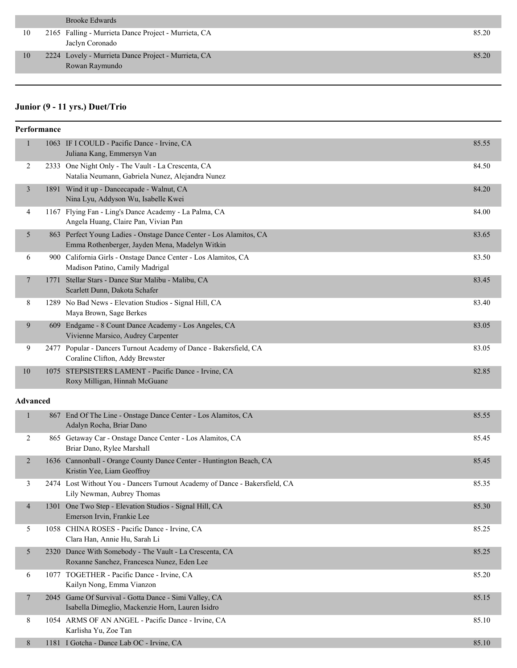| Brooke Edwards |
|----------------|
|                |

| 10 | 2165 Falling - Murrieta Dance Project - Murrieta, CA |       |
|----|------------------------------------------------------|-------|
|    | Jaclyn Coronado                                      |       |
|    | 2224 Lovely - Murrieta Dance Project - Murrieta, CA  | 85.20 |

Rowan Raymundo

## **Junior (9 - 11 yrs.) Duet/Trio**

|              | Performance     |                                                                                                                                                                                       |         |
|--------------|-----------------|---------------------------------------------------------------------------------------------------------------------------------------------------------------------------------------|---------|
| $\mathbf{1}$ |                 | 1063 IF I COULD - Pacific Dance - Irvine, CA<br>Juliana Kang, Emmersyn Van                                                                                                            | 85.55   |
| 2            |                 | 2333 One Night Only - The Vault - La Crescenta, CA<br>Natalia Neumann, Gabriela Nunez, Alejandra Nunez                                                                                | 84.50   |
| 3            |                 | 1891 Wind it up - Dancecapade - Walnut, CA<br>Nina Lyu, Addyson Wu, Isabelle Kwei                                                                                                     | 84.20   |
| 4            |                 | 1167 Flying Fan - Ling's Dance Academy - La Palma, CA<br>Angela Huang, Claire Pan, Vivian Pan                                                                                         | 84.00   |
|              | 5               | 863 Perfect Young Ladies - Onstage Dance Center - Los Alamitos, CA<br>Emma Rothenberger, Jayden Mena, Madelyn Witkin                                                                  | 83.65   |
| 6            |                 | 900 California Girls - Onstage Dance Center - Los Alamitos, CA<br>Madison Patino, Camily Madrigal                                                                                     | 83.50   |
| 7            |                 | 1771 Stellar Stars - Dance Star Malibu - Malibu, CA<br>Scarlett Dunn, Dakota Schafer                                                                                                  | 83.45   |
| 8            |                 | 1289 No Bad News - Elevation Studios - Signal Hill, CA<br>Maya Brown, Sage Berkes                                                                                                     | 83.40   |
| 9            |                 | 609 Endgame - 8 Count Dance Academy - Los Angeles, CA<br>Vivienne Marsico, Audrey Carpenter                                                                                           | 83.05   |
| 9            |                 | 2477 Popular - Dancers Turnout Academy of Dance - Bakersfield, CA<br>Coraline Clifton, Addy Brewster                                                                                  | 83.05   |
| 10           |                 | 1075 STEPSISTERS LAMENT - Pacific Dance - Irvine, CA<br>Roxy Milligan, Hinnah McGuane                                                                                                 | 82.85   |
|              | <b>Advanced</b> |                                                                                                                                                                                       |         |
| $\mathbf{1}$ |                 | 867 End Of The Line - Onstage Dance Center - Los Alamitos, CA<br>Adalyn Rocha, Briar Dano                                                                                             | 85.55   |
|              |                 | $0/f$ $C_{\text{th}}$ $C_{\text{th}}$ $C_{\text{th}}$ $C_{\text{th}}$ $D_{\text{th}}$ $D_{\text{th}}$ $C_{\text{th}}$ $D_{\text{th}}$ $D_{\text{th}}$ $D_{\text{th}}$ $D_{\text{th}}$ | O E A E |

| 2              |      | 865 Getaway Car - Onstage Dance Center - Los Alamitos, CA<br>Briar Dano, Rylee Marshall                   | 85.45 |
|----------------|------|-----------------------------------------------------------------------------------------------------------|-------|
| 2              |      | 1636 Cannonball - Orange County Dance Center - Huntington Beach, CA<br>Kristin Yee, Liam Geoffroy         | 85.45 |
| 3              |      | 2474 Lost Without You - Dancers Turnout Academy of Dance - Bakersfield, CA<br>Lily Newman, Aubrey Thomas  | 85.35 |
| $\overline{4}$ | 1301 | One Two Step - Elevation Studios - Signal Hill, CA<br>Emerson Irvin, Frankie Lee                          | 85.30 |
| 5              |      | 1058 CHINA ROSES - Pacific Dance - Irvine, CA<br>Clara Han, Annie Hu, Sarah Li                            | 85.25 |
| 5              | 2320 | Dance With Somebody - The Vault - La Crescenta, CA<br>Roxanne Sanchez, Francesca Nunez, Eden Lee          | 85.25 |
| 6              | 1077 | TOGETHER - Pacific Dance - Irvine, CA<br>Kailyn Nong, Emma Vianzon                                        | 85.20 |
| $\overline{7}$ |      | 2045 Game Of Survival - Gotta Dance - Simi Valley, CA<br>Isabella Dimeglio, Mackenzie Horn, Lauren Isidro | 85.15 |
| 8              |      | 1054 ARMS OF AN ANGEL - Pacific Dance - Irvine, CA<br>Karlisha Yu, Zoe Tan                                | 85.10 |
| 8              |      | 1181 I Gotcha - Dance Lab OC - Irvine, CA                                                                 | 85.10 |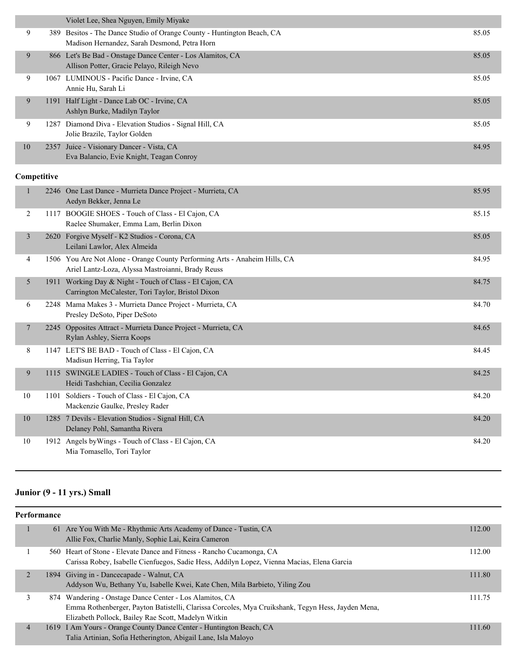|    | Violet Lee, Shea Nguyen, Emily Miyake                                                                                  |       |
|----|------------------------------------------------------------------------------------------------------------------------|-------|
| 9  | 389 Besitos - The Dance Studio of Orange County - Huntington Beach, CA<br>Madison Hernandez, Sarah Desmond, Petra Horn | 85.05 |
|    |                                                                                                                        |       |
| 9  | 866 Let's Be Bad - Onstage Dance Center - Los Alamitos, CA                                                             | 85.05 |
|    | Allison Potter, Gracie Pelayo, Rileigh Nevo                                                                            |       |
| 9  | 1067 LUMINOUS - Pacific Dance - Irvine, CA                                                                             | 85.05 |
|    | Annie Hu, Sarah Li                                                                                                     |       |
| 9  | 1191 Half Light - Dance Lab OC - Irvine, CA                                                                            | 85.05 |
|    | Ashlyn Burke, Madilyn Taylor                                                                                           |       |
| 9  | 1287 Diamond Diva - Elevation Studios - Signal Hill, CA                                                                | 85.05 |
|    | Jolie Brazile, Taylor Golden                                                                                           |       |
| 10 | 2357 Juice - Visionary Dancer - Vista, CA                                                                              | 84.95 |
|    | Eva Balancio, Evie Knight, Teagan Conroy                                                                               |       |

## **Competitive**

|    |      | 2246 One Last Dance - Murrieta Dance Project - Murrieta, CA<br>Aedyn Bekker, Jenna Le                                           | 85.95 |
|----|------|---------------------------------------------------------------------------------------------------------------------------------|-------|
| 2  | 1117 | BOOGIE SHOES - Touch of Class - El Cajon, CA<br>Raelee Shumaker, Emma Lam, Berlin Dixon                                         | 85.15 |
| 3  |      | 2620 Forgive Myself - K2 Studios - Corona, CA<br>Leilani Lawlor, Alex Almeida                                                   | 85.05 |
| 4  |      | 1506 You Are Not Alone - Orange County Performing Arts - Anaheim Hills, CA<br>Ariel Lantz-Loza, Alyssa Mastroianni, Brady Reuss | 84.95 |
| 5  |      | 1911 Working Day & Night - Touch of Class - El Cajon, CA<br>Carrington McCalester, Tori Taylor, Bristol Dixon                   | 84.75 |
| 6  | 2248 | Mama Makes 3 - Murrieta Dance Project - Murrieta, CA<br>Presley DeSoto, Piper DeSoto                                            | 84.70 |
| 7  | 2245 | Opposites Attract - Murrieta Dance Project - Murrieta, CA<br>Rylan Ashley, Sierra Koops                                         | 84.65 |
| 8  |      | 1147 LET'S BE BAD - Touch of Class - El Cajon, CA<br>Madisun Herring, Tia Taylor                                                | 84.45 |
| 9  |      | 1115 SWINGLE LADIES - Touch of Class - El Cajon, CA<br>Heidi Tashchian, Cecilia Gonzalez                                        | 84.25 |
| 10 | 1101 | Soldiers - Touch of Class - El Cajon, CA<br>Mackenzie Gaulke, Presley Rader                                                     | 84.20 |
| 10 |      | 1285 7 Devils - Elevation Studios - Signal Hill, CA<br>Delaney Pohl, Samantha Rivera                                            | 84.20 |
| 10 | 1912 | Angels by Wings - Touch of Class - El Cajon, CA<br>Mia Tomasello, Tori Taylor                                                   | 84.20 |

## **Junior (9 - 11 yrs.) Small**

| Performance    |  |                                                                                                                                                                                                                     |        |
|----------------|--|---------------------------------------------------------------------------------------------------------------------------------------------------------------------------------------------------------------------|--------|
|                |  | 61 Are You With Me - Rhythmic Arts Academy of Dance - Tustin, CA<br>Allie Fox, Charlie Manly, Sophie Lai, Keira Cameron                                                                                             | 112.00 |
|                |  | 560 Heart of Stone - Elevate Dance and Fitness - Rancho Cucamonga, CA<br>Carissa Robey, Isabelle Cienfuegos, Sadie Hess, Addilyn Lopez, Vienna Macias, Elena Garcia                                                 | 112.00 |
| $\overline{2}$ |  | 1894 Giving in - Dancecapade - Walnut, CA<br>Addyson Wu, Bethany Yu, Isabelle Kwei, Kate Chen, Mila Barbieto, Yiling Zou                                                                                            | 111.80 |
|                |  | 874 Wandering - Onstage Dance Center - Los Alamitos, CA<br>Emma Rothenberger, Payton Batistelli, Clarissa Corcoles, Mya Cruikshank, Tegyn Hess, Jayden Mena,<br>Elizabeth Pollock, Bailey Rae Scott, Madelyn Witkin | 111.75 |
| 4              |  | 1619 I Am Yours - Orange County Dance Center - Huntington Beach, CA<br>Talia Artinian, Sofia Hetherington, Abigail Lane, Isla Maloyo                                                                                | 111.60 |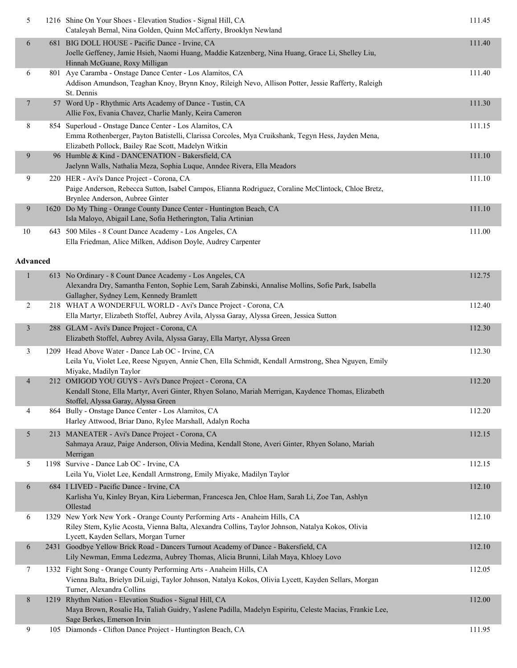| 5               | 1216 Shine On Your Shoes - Elevation Studios - Signal Hill, CA<br>Cataleyah Bernal, Nina Golden, Quinn McCafferty, Brooklyn Newland                                                                                     | 111.45 |
|-----------------|-------------------------------------------------------------------------------------------------------------------------------------------------------------------------------------------------------------------------|--------|
| 6               | 681 BIG DOLL HOUSE - Pacific Dance - Irvine, CA<br>Joelle Geffeney, Jamie Hsieh, Naomi Huang, Maddie Katzenberg, Nina Huang, Grace Li, Shelley Liu,<br>Hinnah McGuane, Roxy Milligan                                    | 111.40 |
| 6               | 801 Aye Caramba - Onstage Dance Center - Los Alamitos, CA<br>Addison Amundson, Teaghan Knoy, Brynn Knoy, Rileigh Nevo, Allison Potter, Jessie Rafferty, Raleigh<br>St. Dennis                                           | 111.40 |
| $\overline{7}$  | 57 Word Up - Rhythmic Arts Academy of Dance - Tustin, CA<br>Allie Fox, Evania Chavez, Charlie Manly, Keira Cameron                                                                                                      | 111.30 |
| 8               | 854 Superloud - Onstage Dance Center - Los Alamitos, CA<br>Emma Rothenberger, Payton Batistelli, Clarissa Corcoles, Mya Cruikshank, Tegyn Hess, Jayden Mena,<br>Elizabeth Pollock, Bailey Rae Scott, Madelyn Witkin     | 111.15 |
| 9               | 96 Humble & Kind - DANCENATION - Bakersfield, CA<br>Jaelynn Walls, Nathalia Meza, Sophia Luque, Anndee Rivera, Ella Meadors                                                                                             | 111.10 |
| 9               | 220 HER - Avi's Dance Project - Corona, CA<br>Paige Anderson, Rebecca Sutton, Isabel Campos, Elianna Rodriguez, Coraline McClintock, Chloe Bretz,<br>Brynlee Anderson, Aubree Ginter                                    | 111.10 |
| 9               | 1620 Do My Thing - Orange County Dance Center - Huntington Beach, CA<br>Isla Maloyo, Abigail Lane, Sofia Hetherington, Talia Artinian                                                                                   | 111.10 |
| 10              | 643 500 Miles - 8 Count Dance Academy - Los Angeles, CA<br>Ella Friedman, Alice Milken, Addison Doyle, Audrey Carpenter                                                                                                 | 111.00 |
| <b>Advanced</b> |                                                                                                                                                                                                                         |        |
| $\mathbf{1}$    | 613 No Ordinary - 8 Count Dance Academy - Los Angeles, CA<br>Alexandra Dry, Samantha Fenton, Sophie Lem, Sarah Zabinski, Annalise Mollins, Sofie Park, Isabella<br>Gallagher, Sydney Lem, Kennedy Bramlett              | 112.75 |
| $\overline{c}$  | 218 WHAT A WONDERFUL WORLD - Avi's Dance Project - Corona, CA<br>Ella Martyr, Elizabeth Stoffel, Aubrey Avila, Alyssa Garay, Alyssa Green, Jessica Sutton                                                               | 112.40 |
| $\mathfrak{Z}$  | 288 GLAM - Avi's Dance Project - Corona, CA<br>Elizabeth Stoffel, Aubrey Avila, Alyssa Garay, Ella Martyr, Alyssa Green                                                                                                 | 112.30 |
| 3               | 1209 Head Above Water - Dance Lab OC - Irvine, CA<br>Leila Yu, Violet Lee, Reese Nguyen, Annie Chen, Ella Schmidt, Kendall Armstrong, Shea Nguyen, Emily<br>Miyake, Madilyn Taylor                                      | 112.30 |
| 4               | 212 OMIGOD YOU GUYS - Avi's Dance Project - Corona, CA<br>Kendall Stone, Ella Martyr, Averi Ginter, Rhyen Solano, Mariah Merrigan, Kaydence Thomas, Elizabeth<br>Stoffel, Alyssa Garay, Alyssa Green                    | 112.20 |
| 4               | 864 Bully - Onstage Dance Center - Los Alamitos, CA<br>Harley Attwood, Briar Dano, Rylee Marshall, Adalyn Rocha                                                                                                         | 112.20 |
| 5               | 213 MANEATER - Avi's Dance Project - Corona, CA<br>Sahmaya Arauz, Paige Anderson, Olivia Medina, Kendall Stone, Averi Ginter, Rhyen Solano, Mariah<br>Merrigan                                                          | 112.15 |
| 5               | 1198 Survive - Dance Lab OC - Irvine, CA<br>Leila Yu, Violet Lee, Kendall Armstrong, Emily Miyake, Madilyn Taylor                                                                                                       | 112.15 |
| 6               | 684 I LIVED - Pacific Dance - Irvine, CA<br>Karlisha Yu, Kinley Bryan, Kira Lieberman, Francesca Jen, Chloe Ham, Sarah Li, Zoe Tan, Ashlyn<br>Ollestad                                                                  | 112.10 |
| 6               | 1329 New York New York - Orange County Performing Arts - Anaheim Hills, CA<br>Riley Stem, Kylie Acosta, Vienna Balta, Alexandra Collins, Taylor Johnson, Natalya Kokos, Olivia<br>Lycett, Kayden Sellars, Morgan Turner | 112.10 |
| 6               | 2431 Goodbye Yellow Brick Road - Dancers Turnout Academy of Dance - Bakersfield, CA<br>Lily Newman, Emma Ledezma, Aubrey Thomas, Alicia Brunni, Lilah Maya, Khloey Lovo                                                 | 112.10 |
| 7               | 1332 Fight Song - Orange County Performing Arts - Anaheim Hills, CA<br>Vienna Balta, Brielyn DiLuigi, Taylor Johnson, Natalya Kokos, Olivia Lycett, Kayden Sellars, Morgan<br>Turner, Alexandra Collins                 | 112.05 |
| 8               | 1219 Rhythm Nation - Elevation Studios - Signal Hill, CA<br>Maya Brown, Rosalie Ha, Taliah Guidry, Yaslene Padilla, Madelyn Espiritu, Celeste Macias, Frankie Lee,<br>Sage Berkes, Emerson Irvin                        | 112.00 |
| 9               | 105 Diamonds - Clifton Dance Project - Huntington Beach, CA                                                                                                                                                             | 111.95 |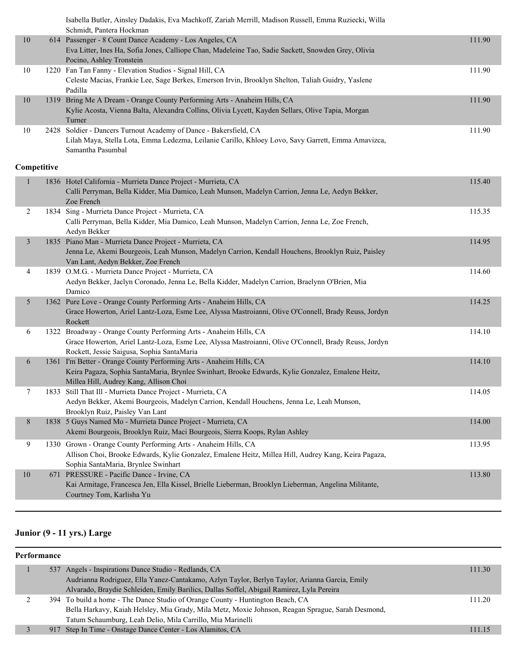|                |             | Isabella Butler, Ainsley Dadakis, Eva Machkoff, Zariah Merrill, Madison Russell, Emma Ruziecki, Willa<br>Schmidt, Pantera Hockman                                          |        |
|----------------|-------------|----------------------------------------------------------------------------------------------------------------------------------------------------------------------------|--------|
| 10             |             | 614 Passenger - 8 Count Dance Academy - Los Angeles, CA                                                                                                                    | 111.90 |
|                |             | Eva Litter, Ines Ha, Sofia Jones, Calliope Chan, Madeleine Tao, Sadie Sackett, Snowden Grey, Olivia                                                                        |        |
|                |             | Pocino, Ashley Tronstein                                                                                                                                                   |        |
| 10             |             | 1220 Fan Tan Fanny - Elevation Studios - Signal Hill, CA                                                                                                                   | 111.90 |
|                |             | Celeste Macias, Frankie Lee, Sage Berkes, Emerson Irvin, Brooklyn Shelton, Taliah Guidry, Yaslene                                                                          |        |
|                |             | Padilla                                                                                                                                                                    |        |
| $10\,$         |             | 1319 Bring Me A Dream - Orange County Performing Arts - Anaheim Hills, CA                                                                                                  | 111.90 |
|                |             | Kylie Acosta, Vienna Balta, Alexandra Collins, Olivia Lycett, Kayden Sellars, Olive Tapia, Morgan<br>Turner                                                                |        |
| 10             |             | 2428 Soldier - Dancers Turnout Academy of Dance - Bakersfield, CA                                                                                                          | 111.90 |
|                |             | Lilah Maya, Stella Lota, Emma Ledezma, Leilanie Carillo, Khloey Lovo, Savy Garrett, Emma Amavizca,                                                                         |        |
|                |             | Samantha Pasumbal                                                                                                                                                          |        |
|                |             |                                                                                                                                                                            |        |
|                | Competitive |                                                                                                                                                                            |        |
| $\mathbf{1}$   |             | 1836 Hotel California - Murrieta Dance Project - Murrieta, CA                                                                                                              | 115.40 |
|                |             | Calli Perryman, Bella Kidder, Mia Damico, Leah Munson, Madelyn Carrion, Jenna Le, Aedyn Bekker,                                                                            |        |
|                |             | Zoe French                                                                                                                                                                 |        |
| $\overline{2}$ |             | 1834 Sing - Murrieta Dance Project - Murrieta, CA<br>Calli Perryman, Bella Kidder, Mia Damico, Leah Munson, Madelyn Carrion, Jenna Le, Zoe French,                         | 115.35 |
|                |             | Aedyn Bekker                                                                                                                                                               |        |
| $\mathfrak{Z}$ |             | 1835 Piano Man - Murrieta Dance Project - Murrieta, CA                                                                                                                     | 114.95 |
|                |             | Jenna Le, Akemi Bourgeois, Leah Munson, Madelyn Carrion, Kendall Houchens, Brooklyn Ruiz, Paisley                                                                          |        |
|                |             | Van Lant, Aedyn Bekker, Zoe French                                                                                                                                         |        |
| 4              |             | 1839 O.M.G. - Murrieta Dance Project - Murrieta, CA                                                                                                                        | 114.60 |
|                |             | Aedyn Bekker, Jaclyn Coronado, Jenna Le, Bella Kidder, Madelyn Carrion, Braelynn O'Brien, Mia                                                                              |        |
|                |             | Damico                                                                                                                                                                     |        |
| 5              |             | 1362 Pure Love - Orange County Performing Arts - Anaheim Hills, CA<br>Grace Howerton, Ariel Lantz-Loza, Esme Lee, Alyssa Mastroianni, Olive O'Connell, Brady Reuss, Jordyn | 114.25 |
|                |             | Rockett                                                                                                                                                                    |        |
| 6              |             | 1322 Broadway - Orange County Performing Arts - Anaheim Hills, CA                                                                                                          | 114.10 |
|                |             | Grace Howerton, Ariel Lantz-Loza, Esme Lee, Alyssa Mastroianni, Olive O'Connell, Brady Reuss, Jordyn                                                                       |        |
|                |             | Rockett, Jessie Saigusa, Sophia SantaMaria                                                                                                                                 |        |
| 6              |             | 1361 I'm Better - Orange County Performing Arts - Anaheim Hills, CA                                                                                                        | 114.10 |
|                |             | Keira Pagaza, Sophia SantaMaria, Brynlee Swinhart, Brooke Edwards, Kylie Gonzalez, Emalene Heitz,                                                                          |        |
|                |             | Millea Hill, Audrey Kang, Allison Choi                                                                                                                                     |        |
| 7              |             | 1833 Still That Ill - Murrieta Dance Project - Murrieta, CA<br>Aedyn Bekker, Akemi Bourgeois, Madelyn Carrion, Kendall Houchens, Jenna Le, Leah Munson,                    | 114.05 |
|                |             | Brooklyn Ruiz, Paisley Van Lant                                                                                                                                            |        |
| 8              |             | 1838 5 Guys Named Mo - Murrieta Dance Project - Murrieta, CA                                                                                                               | 114.00 |
|                |             | Akemi Bourgeois, Brooklyn Ruiz, Maci Bourgeois, Sierra Koops, Rylan Ashley                                                                                                 |        |
| 9              |             | 1330 Grown - Orange County Performing Arts - Anaheim Hills, CA                                                                                                             | 113.95 |
|                |             | Allison Choi, Brooke Edwards, Kylie Gonzalez, Emalene Heitz, Millea Hill, Audrey Kang, Keira Pagaza,                                                                       |        |
|                |             | Sophia SantaMaria, Brynlee Swinhart                                                                                                                                        |        |
| 10             | 671         | PRESSURE - Pacific Dance - Irvine, CA                                                                                                                                      | 113.80 |
|                |             | Kai Armitage, Francesca Jen, Ella Kissel, Brielle Lieberman, Brooklyn Lieberman, Angelina Militante,                                                                       |        |
|                |             | Courtney Tom, Karlisha Yu                                                                                                                                                  |        |

## **Junior (9 - 11 yrs.) Large**

| Performance |  |  |                                                                                                   |        |
|-------------|--|--|---------------------------------------------------------------------------------------------------|--------|
|             |  |  | 537 Angels - Inspirations Dance Studio - Redlands, CA                                             | 111.30 |
|             |  |  | Audrianna Rodriguez, Ella Yanez-Cantakamo, Azlyn Taylor, Berlyn Taylor, Arianna Garcia, Emily     |        |
|             |  |  | Alvarado, Braydie Schleiden, Emily Barilics, Dallas Soffel, Abigail Ramirez, Lyla Pereira         |        |
|             |  |  | 394 To build a home - The Dance Studio of Orange County - Huntington Beach, CA                    | 111.20 |
|             |  |  | Bella Harkavy, Kaiah Helsley, Mia Grady, Mila Metz, Moxie Johnson, Reagan Sprague, Sarah Desmond, |        |
|             |  |  | Tatum Schaumburg, Leah Delio, Mila Carrillo, Mia Marinelli                                        |        |
|             |  |  | 917 Step In Time - Onstage Dance Center - Los Alamitos, CA                                        | 111.15 |
|             |  |  |                                                                                                   |        |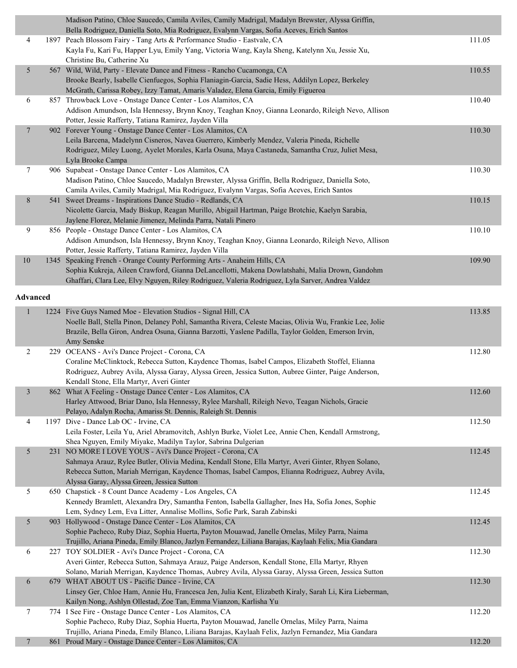|                 | Madison Patino, Chloe Saucedo, Camila Aviles, Camily Madrigal, Madalyn Brewster, Alyssa Griffin,                                                                            |        |
|-----------------|-----------------------------------------------------------------------------------------------------------------------------------------------------------------------------|--------|
| 4               | Bella Rodriguez, Daniella Soto, Mia Rodriguez, Evalynn Vargas, Sofia Aceves, Erich Santos<br>1897 Peach Blossom Fairy - Tang Arts & Performance Studio - Eastvale, CA       | 111.05 |
|                 | Kayla Fu, Kari Fu, Happer Lyu, Emily Yang, Victoria Wang, Kayla Sheng, Katelynn Xu, Jessie Xu,                                                                              |        |
|                 | Christine Bu, Catherine Xu                                                                                                                                                  |        |
| 5               | 567 Wild, Wild, Party - Elevate Dance and Fitness - Rancho Cucamonga, CA                                                                                                    | 110.55 |
|                 | Brooke Bearly, Isabelle Cienfuegos, Sophia Flaniagin-Garcia, Sadie Hess, Addilyn Lopez, Berkeley                                                                            |        |
|                 | McGrath, Carissa Robey, Izzy Tamat, Amaris Valadez, Elena Garcia, Emily Figueroa                                                                                            |        |
| 6               | 857 Throwback Love - Onstage Dance Center - Los Alamitos, CA                                                                                                                | 110.40 |
|                 | Addison Amundson, Isla Hennessy, Brynn Knoy, Teaghan Knoy, Gianna Leonardo, Rileigh Nevo, Allison                                                                           |        |
| $\overline{7}$  | Potter, Jessie Rafferty, Tatiana Ramirez, Jayden Villa<br>902 Forever Young - Onstage Dance Center - Los Alamitos, CA                                                       | 110.30 |
|                 | Leila Barcena, Madelynn Cisneros, Navea Guerrero, Kimberly Mendez, Valeria Pineda, Richelle                                                                                 |        |
|                 | Rodriguez, Miley Luong, Ayelet Morales, Karla Osuna, Maya Castaneda, Samantha Cruz, Juliet Mesa,                                                                            |        |
|                 | Lyla Brooke Campa                                                                                                                                                           |        |
| $\tau$          | 906 Supabeat - Onstage Dance Center - Los Alamitos, CA                                                                                                                      | 110.30 |
|                 | Madison Patino, Chloe Saucedo, Madalyn Brewster, Alyssa Griffin, Bella Rodriguez, Daniella Soto,                                                                            |        |
|                 | Camila Aviles, Camily Madrigal, Mia Rodriguez, Evalynn Vargas, Sofia Aceves, Erich Santos                                                                                   |        |
| $8\,$           | 541 Sweet Dreams - Inspirations Dance Studio - Redlands, CA                                                                                                                 | 110.15 |
|                 | Nicolette Garcia, Mady Biskup, Reagan Murillo, Abigail Hartman, Paige Brotchie, Kaelyn Sarabia,<br>Jaylene Florez, Melanie Jimenez, Melinda Parra, Natali Pinero            |        |
| 9               | 856 People - Onstage Dance Center - Los Alamitos, CA                                                                                                                        | 110.10 |
|                 | Addison Amundson, Isla Hennessy, Brynn Knoy, Teaghan Knoy, Gianna Leonardo, Rileigh Nevo, Allison                                                                           |        |
|                 | Potter, Jessie Rafferty, Tatiana Ramirez, Jayden Villa                                                                                                                      |        |
| 10              | 1345 Speaking French - Orange County Performing Arts - Anaheim Hills, CA                                                                                                    | 109.90 |
|                 | Sophia Kukreja, Aileen Crawford, Gianna DeLancellotti, Makena Dowlatshahi, Malia Drown, Gandohm                                                                             |        |
|                 | Ghaffari, Clara Lee, Elvy Nguyen, Riley Rodriguez, Valeria Rodriguez, Lyla Sarver, Andrea Valdez                                                                            |        |
| <b>Advanced</b> |                                                                                                                                                                             |        |
| $\mathbf{1}$    | 1224 Five Guys Named Moe - Elevation Studios - Signal Hill, CA                                                                                                              | 113.85 |
|                 | Noelle Ball, Stella Pinon, Delaney Pohl, Samantha Rivera, Celeste Macias, Olivia Wu, Frankie Lee, Jolie                                                                     |        |
|                 | Brazile, Bella Giron, Andrea Osuna, Gianna Barzotti, Yaslene Padilla, Taylor Golden, Emerson Irvin,                                                                         |        |
|                 | Amy Senske                                                                                                                                                                  |        |
| $\overline{c}$  | 229 OCEANS - Avi's Dance Project - Corona, CA                                                                                                                               | 112.80 |
|                 | Coraline McClinktock, Rebecca Sutton, Kaydence Thomas, Isabel Campos, Elizabeth Stoffel, Elianna                                                                            |        |
|                 | Rodriguez, Aubrey Avila, Alyssa Garay, Alyssa Green, Jessica Sutton, Aubree Ginter, Paige Anderson,                                                                         |        |
|                 | Kendall Stone, Ella Martyr, Averi Ginter                                                                                                                                    |        |
| 3               | 862 What A Feeling - Onstage Dance Center - Los Alamitos, CA<br>Harley Attwood, Briar Dano, Isla Hennessy, Rylee Marshall, Rileigh Nevo, Teagan Nichols, Gracie             | 112.60 |
|                 | Pelayo, Adalyn Rocha, Amariss St. Dennis, Raleigh St. Dennis                                                                                                                |        |
| 4               | 1197 Dive - Dance Lab OC - Irvine, CA                                                                                                                                       | 112.50 |
|                 | Leila Foster, Leila Yu, Ariel Abramovitch, Ashlyn Burke, Violet Lee, Annie Chen, Kendall Armstrong,                                                                         |        |
|                 | Shea Nguyen, Emily Miyake, Madilyn Taylor, Sabrina Dulgerian                                                                                                                |        |
| 5               | 231 NO MORE I LOVE YOUS - Avi's Dance Project - Corona, CA                                                                                                                  | 112.45 |
|                 | Sahmaya Arauz, Rylee Butler, Olivia Medina, Kendall Stone, Ella Martyr, Averi Ginter, Rhyen Solano,                                                                         |        |
|                 | Rebecca Sutton, Mariah Merrigan, Kaydence Thomas, Isabel Campos, Elianna Rodriguez, Aubrey Avila,                                                                           |        |
|                 | Alyssa Garay, Alyssa Green, Jessica Sutton                                                                                                                                  | 112.45 |
| 5               | 650 Chapstick - 8 Count Dance Academy - Los Angeles, CA<br>Kennedy Bramlett, Alexandra Dry, Samantha Fenton, Isabella Gallagher, Ines Ha, Sofia Jones, Sophie               |        |
|                 | Lem, Sydney Lem, Eva Litter, Annalise Mollins, Sofie Park, Sarah Zabinski                                                                                                   |        |
| 5               | 903 Hollywood - Onstage Dance Center - Los Alamitos, CA                                                                                                                     | 112.45 |
|                 | Sophie Pacheco, Ruby Diaz, Sophia Huerta, Payton Mouawad, Janelle Ornelas, Miley Parra, Naima                                                                               |        |
|                 | Trujillo, Ariana Pineda, Emily Blanco, Jazlyn Fernandez, Liliana Barajas, Kaylaah Felix, Mia Gandara                                                                        |        |
| 6               | 227 TOY SOLDIER - Avi's Dance Project - Corona, CA                                                                                                                          | 112.30 |
|                 | Averi Ginter, Rebecca Sutton, Sahmaya Arauz, Paige Anderson, Kendall Stone, Ella Martyr, Rhyen                                                                              |        |
|                 | Solano, Mariah Merrigan, Kaydence Thomas, Aubrey Avila, Alyssa Garay, Alyssa Green, Jessica Sutton                                                                          |        |
| 6               | 679 WHAT ABOUT US - Pacific Dance - Irvine, CA                                                                                                                              | 112.30 |
|                 | Linsey Ger, Chloe Ham, Annie Hu, Francesca Jen, Julia Kent, Elizabeth Kiraly, Sarah Li, Kira Lieberman,<br>Kailyn Nong, Ashlyn Ollestad, Zoe Tan, Emma Vianzon, Karlisha Yu |        |
| $\tau$          | 774 I See Fire - Onstage Dance Center - Los Alamitos, CA                                                                                                                    | 112.20 |
|                 | Sophie Pacheco, Ruby Diaz, Sophia Huerta, Payton Mouawad, Janelle Ornelas, Miley Parra, Naima                                                                               |        |
|                 | Trujillo, Ariana Pineda, Emily Blanco, Liliana Barajas, Kaylaah Felix, Jazlyn Fernandez, Mia Gandara                                                                        |        |
| $7\phantom{.0}$ | 861 Proud Mary - Onstage Dance Center - Los Alamitos, CA                                                                                                                    | 112.20 |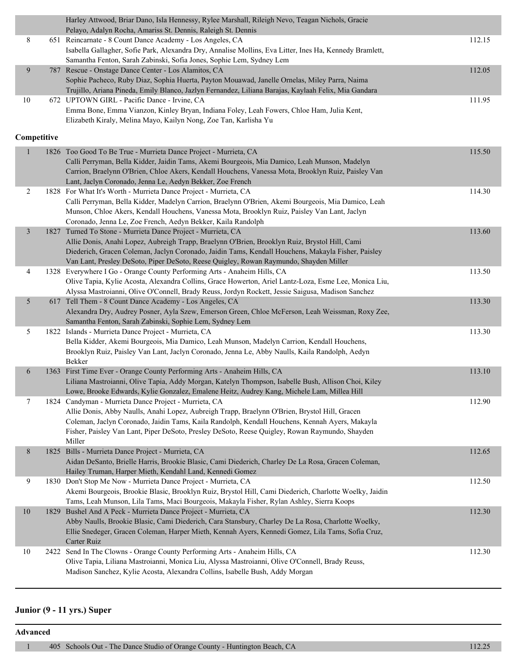|                | Harley Attwood, Briar Dano, Isla Hennessy, Rylee Marshall, Rileigh Nevo, Teagan Nichols, Gracie<br>Pelayo, Adalyn Rocha, Amariss St. Dennis, Raleigh St. Dennis |        |
|----------------|-----------------------------------------------------------------------------------------------------------------------------------------------------------------|--------|
|                |                                                                                                                                                                 |        |
| 8              | 651 Reincarnate - 8 Count Dance Academy - Los Angeles, CA                                                                                                       | 112.15 |
|                | Isabella Gallagher, Sofie Park, Alexandra Dry, Annalise Mollins, Eva Litter, Ines Ha, Kennedy Bramlett,                                                         |        |
| 9              | Samantha Fenton, Sarah Zabinski, Sofia Jones, Sophie Lem, Sydney Lem<br>787 Rescue - Onstage Dance Center - Los Alamitos, CA                                    | 112.05 |
|                | Sophie Pacheco, Ruby Diaz, Sophia Huerta, Payton Mouawad, Janelle Ornelas, Miley Parra, Naima                                                                   |        |
|                | Trujillo, Ariana Pineda, Emily Blanco, Jazlyn Fernandez, Liliana Barajas, Kaylaah Felix, Mia Gandara                                                            |        |
| 10             | 672 UPTOWN GIRL - Pacific Dance - Irvine, CA                                                                                                                    | 111.95 |
|                | Emma Bone, Emma Vianzon, Kinley Bryan, Indiana Foley, Leah Fowers, Chloe Ham, Julia Kent,                                                                       |        |
|                | Elizabeth Kiraly, Melina Mayo, Kailyn Nong, Zoe Tan, Karlisha Yu                                                                                                |        |
|                |                                                                                                                                                                 |        |
| Competitive    |                                                                                                                                                                 |        |
|                | 1826 Too Good To Be True - Murrieta Dance Project - Murrieta, CA                                                                                                | 115.50 |
|                | Calli Perryman, Bella Kidder, Jaidin Tams, Akemi Bourgeois, Mia Damico, Leah Munson, Madelyn                                                                    |        |
|                | Carrion, Braelynn O'Brien, Chloe Akers, Kendall Houchens, Vanessa Mota, Brooklyn Ruiz, Paisley Van                                                              |        |
|                | Lant, Jaclyn Coronado, Jenna Le, Aedyn Bekker, Zoe French                                                                                                       |        |
| $\overline{c}$ | 1828 For What It's Worth - Murrieta Dance Project - Murrieta, CA                                                                                                | 114.30 |
|                | Calli Perryman, Bella Kidder, Madelyn Carrion, Braelynn O'Brien, Akemi Bourgeois, Mia Damico, Leah                                                              |        |
|                | Munson, Chloe Akers, Kendall Houchens, Vanessa Mota, Brooklyn Ruiz, Paisley Van Lant, Jaclyn                                                                    |        |
|                | Coronado, Jenna Le, Zoe French, Aedyn Bekker, Kaila Randolph                                                                                                    |        |
| $\mathfrak{Z}$ | 1827 Turned To Stone - Murrieta Dance Project - Murrieta, CA                                                                                                    | 113.60 |
|                | Allie Donis, Anahi Lopez, Aubreigh Trapp, Braelynn O'Brien, Brooklyn Ruiz, Brystol Hill, Cami                                                                   |        |
|                | Diederich, Gracen Coleman, Jaclyn Coronado, Jaidin Tams, Kendall Houchens, Makayla Fisher, Paisley                                                              |        |
|                | Van Lant, Presley DeSoto, Piper DeSoto, Reese Quigley, Rowan Raymundo, Shayden Miller                                                                           |        |
| 4              | 1328 Everywhere I Go - Orange County Performing Arts - Anaheim Hills, CA                                                                                        | 113.50 |
|                | Olive Tapia, Kylie Acosta, Alexandra Collins, Grace Howerton, Ariel Lantz-Loza, Esme Lee, Monica Liu,                                                           |        |
|                | Alyssa Mastroianni, Olive O'Connell, Brady Reuss, Jordyn Rockett, Jessie Saigusa, Madison Sanchez                                                               |        |
| 5              | 617 Tell Them - 8 Count Dance Academy - Los Angeles, CA                                                                                                         | 113.30 |
|                | Alexandra Dry, Audrey Posner, Ayla Szew, Emerson Green, Chloe McFerson, Leah Weissman, Roxy Zee,                                                                |        |
|                | Samantha Fenton, Sarah Zabinski, Sophie Lem, Sydney Lem                                                                                                         |        |
| 5              | 1822 Islands - Murrieta Dance Project - Murrieta, CA                                                                                                            | 113.30 |
|                | Bella Kidder, Akemi Bourgeois, Mia Damico, Leah Munson, Madelyn Carrion, Kendall Houchens,                                                                      |        |
|                | Brooklyn Ruiz, Paisley Van Lant, Jaclyn Coronado, Jenna Le, Abby Naulls, Kaila Randolph, Aedyn                                                                  |        |
|                | Bekker                                                                                                                                                          |        |
| 6              | 1363 First Time Ever - Orange County Performing Arts - Anaheim Hills, CA                                                                                        | 113.10 |
|                | Liliana Mastroianni, Olive Tapia, Addy Morgan, Katelyn Thompson, Isabelle Bush, Allison Choi, Kiley                                                             |        |
|                | Lowe, Brooke Edwards, Kylie Gonzalez, Emalene Heitz, Audrey Kang, Michele Lam, Millea Hill                                                                      |        |
| 7              | 1824 Candyman - Murrieta Dance Project - Murrieta, CA                                                                                                           | 112.90 |
|                | Allie Donis, Abby Naulls, Anahi Lopez, Aubreigh Trapp, Braelynn O'Brien, Brystol Hill, Gracen                                                                   |        |
|                | Coleman, Jaclyn Coronado, Jaidin Tams, Kaila Randolph, Kendall Houchens, Kennah Ayers, Makayla                                                                  |        |
|                | Fisher, Paisley Van Lant, Piper DeSoto, Presley DeSoto, Reese Quigley, Rowan Raymundo, Shayden                                                                  |        |
|                | Miller                                                                                                                                                          |        |
| 8              | 1825 Bills - Murrieta Dance Project - Murrieta, CA                                                                                                              | 112.65 |
|                | Aidan DeSanto, Brielle Harris, Brookie Blasic, Cami Diederich, Charley De La Rosa, Gracen Coleman,                                                              |        |
|                | Hailey Truman, Harper Mieth, Kendahl Land, Kennedi Gomez                                                                                                        |        |
| 9              | 1830 Don't Stop Me Now - Murrieta Dance Project - Murrieta, CA                                                                                                  | 112.50 |
|                | Akemi Bourgeois, Brookie Blasic, Brooklyn Ruiz, Brystol Hill, Cami Diederich, Charlotte Woelky, Jaidin                                                          |        |
|                | Tams, Leah Munson, Lila Tams, Maci Bourgeois, Makayla Fisher, Rylan Ashley, Sierra Koops                                                                        |        |
| $10\,$         | 1829 Bushel And A Peck - Murrieta Dance Project - Murrieta, CA                                                                                                  | 112.30 |
|                | Abby Naulls, Brookie Blasic, Cami Diederich, Cara Stansbury, Charley De La Rosa, Charlotte Woelky,                                                              |        |
|                | Ellie Snedeger, Gracen Coleman, Harper Mieth, Kennah Ayers, Kennedi Gomez, Lila Tams, Sofia Cruz,                                                               |        |
|                | Carter Ruiz                                                                                                                                                     |        |
| 10             | 2422 Send In The Clowns - Orange County Performing Arts - Anaheim Hills, CA                                                                                     | 112.30 |
|                | Olive Tapia, Liliana Mastroianni, Monica Liu, Alyssa Mastroianni, Olive O'Connell, Brady Reuss,                                                                 |        |
|                | Madison Sanchez, Kylie Acosta, Alexandra Collins, Isabelle Bush, Addy Morgan                                                                                    |        |

## **Junior (9 - 11 yrs.) Super**

**Advanced**

1 405 Schools Out - The Dance Studio of Orange County - Huntington Beach, CA 112.25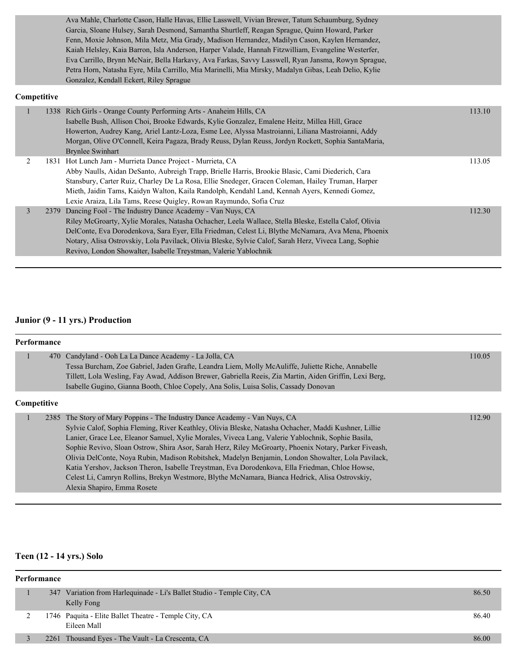Ava Mahle, Charlotte Cason, Halle Havas, Ellie Lasswell, Vivian Brewer, Tatum Schaumburg, Sydney Garcia, Sloane Hulsey, Sarah Desmond, Samantha Shurtleff, Reagan Sprague, Quinn Howard, Parker Fenn, Moxie Johnson, Mila Metz, Mia Grady, Madison Hernandez, Madilyn Cason, Kaylen Hernandez, Kaiah Helsley, Kaia Barron, Isla Anderson, Harper Valade, Hannah Fitzwilliam, Evangeline Westerfer, Eva Carrillo, Brynn McNair, Bella Harkavy, Ava Farkas, Savvy Lasswell, Ryan Jansma, Rowyn Sprague, Petra Horn, Natasha Eyre, Mila Carrillo, Mia Marinelli, Mia Mirsky, Madalyn Gibas, Leah Delio, Kylie Gonzalez, Kendall Eckert, Riley Sprague

#### **Competitive**

|               | 1338 Rich Girls - Orange County Performing Arts - Anaheim Hills, CA<br>Isabelle Bush, Allison Choi, Brooke Edwards, Kylie Gonzalez, Emalene Heitz, Millea Hill, Grace<br>Howerton, Audrey Kang, Ariel Lantz-Loza, Esme Lee, Alyssa Mastroianni, Liliana Mastroianni, Addy | 113.10 |
|---------------|---------------------------------------------------------------------------------------------------------------------------------------------------------------------------------------------------------------------------------------------------------------------------|--------|
|               | Morgan, Olive O'Connell, Keira Pagaza, Brady Reuss, Dylan Reuss, Jordyn Rockett, Sophia SantaMaria,                                                                                                                                                                       |        |
|               | <b>Brynlee Swinhart</b>                                                                                                                                                                                                                                                   |        |
|               | 1831 Hot Lunch Jam - Murrieta Dance Project - Murrieta, CA                                                                                                                                                                                                                | 113.05 |
|               | Abby Naulls, Aidan DeSanto, Aubreigh Trapp, Brielle Harris, Brookie Blasic, Cami Diederich, Cara                                                                                                                                                                          |        |
|               | Stansbury, Carter Ruiz, Charley De La Rosa, Ellie Snedeger, Gracen Coleman, Hailey Truman, Harper                                                                                                                                                                         |        |
|               | Mieth, Jaidin Tams, Kaidyn Walton, Kaila Randolph, Kendahl Land, Kennah Ayers, Kennedi Gomez,                                                                                                                                                                             |        |
|               | Lexie Araiza, Lila Tams, Reese Quigley, Rowan Raymundo, Sofia Cruz                                                                                                                                                                                                        |        |
| $\mathcal{E}$ | 2379 Dancing Fool - The Industry Dance Academy - Van Nuys, CA                                                                                                                                                                                                             | 112.30 |
|               | Riley McGroarty, Xylie Morales, Natasha Ochacher, Leela Wallace, Stella Bleske, Estella Calof, Olivia                                                                                                                                                                     |        |
|               | DelConte, Eva Dorodenkova, Sara Eyer, Ella Friedman, Celest Li, Blythe McNamara, Ava Mena, Phoenix                                                                                                                                                                        |        |
|               | Notary, Alisa Ostrovskiy, Lola Pavilack, Olivia Bleske, Sylvie Calof, Sarah Herz, Viveca Lang, Sophie                                                                                                                                                                     |        |
|               | Revivo, London Showalter, Isabelle Treystman, Valerie Yablochnik                                                                                                                                                                                                          |        |
|               |                                                                                                                                                                                                                                                                           |        |

#### **Junior (9 - 11 yrs.) Production**

| <b>Performance</b> |                                                                                                                                                                                                                                                                                                                                                                                                                                                                                                                                                                                                                                                                                                                                            |        |  |  |  |
|--------------------|--------------------------------------------------------------------------------------------------------------------------------------------------------------------------------------------------------------------------------------------------------------------------------------------------------------------------------------------------------------------------------------------------------------------------------------------------------------------------------------------------------------------------------------------------------------------------------------------------------------------------------------------------------------------------------------------------------------------------------------------|--------|--|--|--|
|                    | 470 Candyland - Ooh La La Dance Academy - La Jolla, CA<br>Tessa Burcham, Zoe Gabriel, Jaden Grafte, Leandra Liem, Molly McAuliffe, Juliette Riche, Annabelle<br>Tillett, Lola Wesling, Fay Awad, Addison Brewer, Gabriella Reeis, Zia Martin, Aiden Griffin, Lexi Berg,<br>Isabelle Gugino, Gianna Booth, Chloe Copely, Ana Solis, Luisa Solis, Cassady Donovan                                                                                                                                                                                                                                                                                                                                                                            | 110.05 |  |  |  |
|                    | Competitive                                                                                                                                                                                                                                                                                                                                                                                                                                                                                                                                                                                                                                                                                                                                |        |  |  |  |
|                    | 2385 The Story of Mary Poppins - The Industry Dance Academy - Van Nuys, CA<br>Sylvie Calof, Sophia Fleming, River Keathley, Olivia Bleske, Natasha Ochacher, Maddi Kushner, Lillie<br>Lanier, Grace Lee, Eleanor Samuel, Xylie Morales, Viveca Lang, Valerie Yablochnik, Sophie Basila,<br>Sophie Revivo, Sloan Ostrow, Shira Asor, Sarah Herz, Riley McGroarty, Phoenix Notary, Parker Fiveash,<br>Olivia DelConte, Nova Rubin, Madison Robitshek, Madelyn Benjamin, London Showalter, Lola Pavilack,<br>Katia Yershov, Jackson Theron, Isabelle Trevstman, Eva Dorodenkova, Ella Friedman, Chloe Howse,<br>Celest Li, Camryn Rollins, Brekyn Westmore, Blythe McNamara, Bianca Hedrick, Alisa Ostrovskiy,<br>Alexia Shapiro, Emma Rosete | 112.90 |  |  |  |

#### **Teen (12 - 14 yrs.) Solo**

## **Performance** 1 347 Variation from Harlequinade - Li's Ballet Studio - Temple City, CA 86.50 Kelly Fong 2 1746 Paquita - Elite Ballet Theatre - Temple City, CA 86.40 Eileen Mall 3 2261 Thousand Eyes - The Vault - La Crescenta, CA 86.00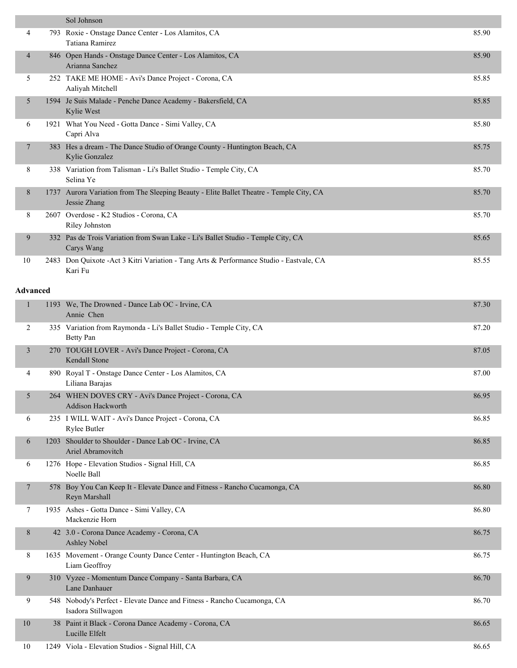|                 | Sol Johnson                                                                                             |       |
|-----------------|---------------------------------------------------------------------------------------------------------|-------|
| 4               | 793 Roxie - Onstage Dance Center - Los Alamitos, CA<br>Tatiana Ramirez                                  | 85.90 |
| $\overline{4}$  | 846 Open Hands - Onstage Dance Center - Los Alamitos, CA<br>Arianna Sanchez                             | 85.90 |
| 5               | 252 TAKE ME HOME - Avi's Dance Project - Corona, CA<br>Aaliyah Mitchell                                 | 85.85 |
| 5               | 1594 Je Suis Malade - Penche Dance Academy - Bakersfield, CA<br>Kylie West                              | 85.85 |
| 6               | 1921 What You Need - Gotta Dance - Simi Valley, CA<br>Capri Alva                                        | 85.80 |
| 7               | 383 Hes a dream - The Dance Studio of Orange County - Huntington Beach, CA<br>Kylie Gonzalez            | 85.75 |
| 8               | 338 Variation from Talisman - Li's Ballet Studio - Temple City, CA<br>Selina Ye                         | 85.70 |
| 8               | 1737 Aurora Variation from The Sleeping Beauty - Elite Ballet Theatre - Temple City, CA<br>Jessie Zhang | 85.70 |
| 8               | 2607 Overdose - K2 Studios - Corona, CA<br>Riley Johnston                                               | 85.70 |
| 9               | 332 Pas de Trois Variation from Swan Lake - Li's Ballet Studio - Temple City, CA<br>Carys Wang          | 85.65 |
| 10              | 2483 Don Quixote - Act 3 Kitri Variation - Tang Arts & Performance Studio - Eastvale, CA<br>Kari Fu     | 85.55 |
| <b>Advanced</b> |                                                                                                         |       |
| $\mathbf{1}$    | 1193 We, The Drowned - Dance Lab OC - Irvine, CA<br>Annie Chen                                          | 87.30 |
| 2               | 335 Variation from Raymonda - Li's Ballet Studio - Temple City, CA<br><b>Betty Pan</b>                  | 87.20 |
| 3               | 270 TOUGH LOVER - Avi's Dance Project - Corona, CA<br>Kendall Stone                                     | 87.05 |
| 4               | 890 Royal T - Onstage Dance Center - Los Alamitos, CA<br>Liliana Barajas                                | 87.00 |
| 5               | 264 WHEN DOVES CRY - Avi's Dance Project - Corona, CA<br><b>Addison Hackworth</b>                       | 86.95 |
| 6               | 235 I WILL WAIT - Avi's Dance Project - Corona, CA<br>Rylee Butler                                      | 86.85 |
| 6               | 1203 Shoulder to Shoulder - Dance Lab OC - Irvine, CA<br>Ariel Abramovitch                              | 86.85 |
| 6               | 1276 Hope - Elevation Studios - Signal Hill, CA<br>Noelle Ball                                          | 86.85 |
| 7               | 578 Boy You Can Keep It - Elevate Dance and Fitness - Rancho Cucamonga, CA<br>Reyn Marshall             | 86.80 |
| 7               | 1935 Ashes - Gotta Dance - Simi Valley, CA<br>Mackenzie Horn                                            | 86.80 |
| 8               | 42 3.0 - Corona Dance Academy - Corona, CA<br>Ashley Nobel                                              | 86.75 |
| 8               | 1635 Movement - Orange County Dance Center - Huntington Beach, CA<br>Liam Geoffroy                      | 86.75 |
| 9               | 310 Vyzee - Momentum Dance Company - Santa Barbara, CA<br>Lane Danhauer                                 | 86.70 |
|                 |                                                                                                         |       |

 9 548 Nobody's Perfect - Elevate Dance and Fitness - Rancho Cucamonga, CA 86.70 Isadora Stillwagon 10 38 Paint it Black - Corona Dance Academy - Corona, CA 86.65 Lucille Elfelt 10 1249 Viola - Elevation Studios - Signal Hill, CA 86.65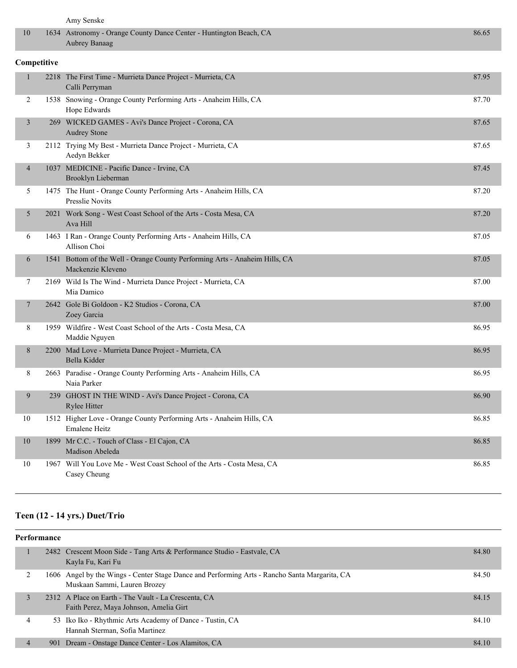|                | Amy Senske                                                                                       |       |
|----------------|--------------------------------------------------------------------------------------------------|-------|
| 10             | 1634 Astronomy - Orange County Dance Center - Huntington Beach, CA<br>Aubrey Banaag              | 86.65 |
| Competitive    |                                                                                                  |       |
| $\mathbf{1}$   | 2218 The First Time - Murrieta Dance Project - Murrieta, CA<br>Calli Perryman                    | 87.95 |
| 2              | 1538 Snowing - Orange County Performing Arts - Anaheim Hills, CA<br>Hope Edwards                 | 87.70 |
| 3              | 269 WICKED GAMES - Avi's Dance Project - Corona, CA<br><b>Audrey Stone</b>                       | 87.65 |
| 3              | 2112 Trying My Best - Murrieta Dance Project - Murrieta, CA<br>Aedyn Bekker                      | 87.65 |
| $\overline{4}$ | 1037 MEDICINE - Pacific Dance - Irvine, CA<br>Brooklyn Lieberman                                 | 87.45 |
| 5              | 1475 The Hunt - Orange County Performing Arts - Anaheim Hills, CA<br><b>Presslie Novits</b>      | 87.20 |
| 5              | 2021 Work Song - West Coast School of the Arts - Costa Mesa, CA<br>Ava Hill                      | 87.20 |
| 6              | 1463 I Ran - Orange County Performing Arts - Anaheim Hills, CA<br>Allison Choi                   | 87.05 |
| 6              | 1541 Bottom of the Well - Orange County Performing Arts - Anaheim Hills, CA<br>Mackenzie Kleveno | 87.05 |
| 7              | 2169 Wild Is The Wind - Murrieta Dance Project - Murrieta, CA<br>Mia Damico                      | 87.00 |
| 7              | 2642 Gole Bi Goldoon - K2 Studios - Corona, CA<br>Zoey Garcia                                    | 87.00 |
| 8              | 1959 Wildfire - West Coast School of the Arts - Costa Mesa, CA<br>Maddie Nguyen                  | 86.95 |
| 8              | 2200 Mad Love - Murrieta Dance Project - Murrieta, CA<br>Bella Kidder                            | 86.95 |
| 8              | 2663 Paradise - Orange County Performing Arts - Anaheim Hills, CA<br>Naia Parker                 | 86.95 |
| 9              | 239 GHOST IN THE WIND - Avi's Dance Project - Corona, CA<br>Rylee Hitter                         | 86.90 |
| 10             | 1512 Higher Love - Orange County Performing Arts - Anaheim Hills, CA<br>Emalene Heitz            | 86.85 |
| $10\,$         | 1899 Mr C.C. - Touch of Class - El Cajon, CA<br>Madison Abeleda                                  | 86.85 |
| 10             | 1967 Will You Love Me - West Coast School of the Arts - Costa Mesa, CA<br>Casey Cheung           | 86.85 |

## **Teen (12 - 14 yrs.) Duet/Trio**

| <b>Performance</b> |   |     |                                                                                                                               |       |  |
|--------------------|---|-----|-------------------------------------------------------------------------------------------------------------------------------|-------|--|
|                    |   |     | 2482 Crescent Moon Side - Tang Arts & Performance Studio - Eastvale, CA<br>Kayla Fu, Kari Fu                                  | 84.80 |  |
|                    |   |     | 1606 Angel by the Wings - Center Stage Dance and Performing Arts - Rancho Santa Margarita, CA<br>Muskaan Sammi, Lauren Brozey | 84.50 |  |
|                    | 3 |     | 2312 A Place on Earth - The Vault - La Crescenta, CA<br>Faith Perez, Maya Johnson, Amelia Girt                                | 84.15 |  |
|                    | 4 |     | 53 Iko Iko - Rhythmic Arts Academy of Dance - Tustin, CA<br>Hannah Sterman, Sofia Martinez                                    | 84.10 |  |
|                    | 4 | 901 | Dream - Onstage Dance Center - Los Alamitos, CA                                                                               | 84.10 |  |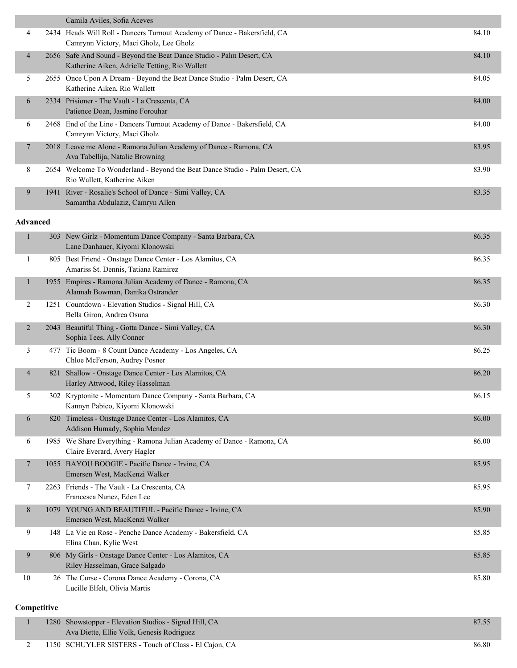|                 |      | Camila Aviles, Sofia Aceves                                                                                            |       |
|-----------------|------|------------------------------------------------------------------------------------------------------------------------|-------|
| 4               |      | 2434 Heads Will Roll - Dancers Turnout Academy of Dance - Bakersfield, CA<br>Camrynn Victory, Maci Gholz, Lee Gholz    | 84.10 |
| 4               |      | 2656 Safe And Sound - Beyond the Beat Dance Studio - Palm Desert, CA<br>Katherine Aiken, Adrielle Tetting, Rio Wallett | 84.10 |
| 5.              | 2655 | Once Upon A Dream - Beyond the Beat Dance Studio - Palm Desert, CA<br>Katherine Aiken, Rio Wallett                     | 84.05 |
| 6               | 2334 | Prisioner - The Vault - La Crescenta, CA<br>Patience Doan, Jasmine Forouhar                                            | 84.00 |
| 6               | 2468 | End of the Line - Dancers Turnout Academy of Dance - Bakersfield, CA<br>Camrynn Victory, Maci Gholz                    | 84.00 |
| 7               |      | 2018 Leave me Alone - Ramona Julian Academy of Dance - Ramona, CA<br>Ava Tabellija, Natalie Browning                   | 83.95 |
| 8               |      | 2654 Welcome To Wonderland - Beyond the Beat Dance Studio - Palm Desert, CA<br>Rio Wallett, Katherine Aiken            | 83.90 |
| 9               | 1941 | River - Rosalie's School of Dance - Simi Valley, CA<br>Samantha Abdulaziz, Camryn Allen                                | 83.35 |
| <b>Advanced</b> |      |                                                                                                                        |       |
|                 | 303  | New Girlz - Momentum Dance Company - Santa Barbara, CA<br>Lane Danhauer, Kiyomi Klonowski                              | 86.35 |

|                |     | Lane Danhauer, Kiyomi Klonowski                                                                        |       |
|----------------|-----|--------------------------------------------------------------------------------------------------------|-------|
| 1              |     | 805 Best Friend - Onstage Dance Center - Los Alamitos, CA<br>Amariss St. Dennis, Tatiana Ramirez       | 86.35 |
| $\mathbf{1}$   |     | 1955 Empires - Ramona Julian Academy of Dance - Ramona, CA<br>Alannah Bowman, Danika Ostrander         | 86.35 |
| 2              |     | 1251 Countdown - Elevation Studios - Signal Hill, CA<br>Bella Giron, Andrea Osuna                      | 86.30 |
| 2              |     | 2043 Beautiful Thing - Gotta Dance - Simi Valley, CA<br>Sophia Tees, Ally Conner                       | 86.30 |
| 3              |     | 477 Tic Boom - 8 Count Dance Academy - Los Angeles, CA<br>Chloe McFerson, Audrey Posner                | 86.25 |
| $\overline{4}$ | 821 | Shallow - Onstage Dance Center - Los Alamitos, CA<br>Harley Attwood, Riley Hasselman                   | 86.20 |
| 5              |     | 302 Kryptonite - Momentum Dance Company - Santa Barbara, CA<br>Kannyn Pabico, Kiyomi Klonowski         | 86.15 |
| 6              |     | 820 Timeless - Onstage Dance Center - Los Alamitos, CA<br>Addison Humady, Sophia Mendez                | 86.00 |
| 6              |     | 1985 We Share Everything - Ramona Julian Academy of Dance - Ramona, CA<br>Claire Everard, Avery Hagler | 86.00 |
| $\tau$         |     | 1055 BAYOU BOOGIE - Pacific Dance - Irvine, CA<br>Emersen West, MacKenzi Walker                        | 85.95 |
| 7              |     | 2263 Friends - The Vault - La Crescenta, CA<br>Francesca Nunez, Eden Lee                               | 85.95 |
| 8              |     | 1079 YOUNG AND BEAUTIFUL - Pacific Dance - Irvine, CA<br>Emersen West, MacKenzi Walker                 | 85.90 |
| 9              |     | 148 La Vie en Rose - Penche Dance Academy - Bakersfield, CA<br>Elina Chan, Kylie West                  | 85.85 |
| 9              |     | 806 My Girls - Onstage Dance Center - Los Alamitos, CA<br>Riley Hasselman, Grace Salgado               | 85.85 |
| 10             |     | 26 The Curse - Corona Dance Academy - Corona, CA<br>Lucille Elfelt, Olivia Martis                      | 85.80 |

## **Competitive**

| 1280 Showstopper - Elevation Studios - Signal Hill, CA |                                                       | 87.55 |
|--------------------------------------------------------|-------------------------------------------------------|-------|
| Ava Diette, Ellie Volk, Genesis Rodriguez              |                                                       |       |
|                                                        | 1150 SCHUYLER SISTERS - Touch of Class - El Cajon, CA | 86.80 |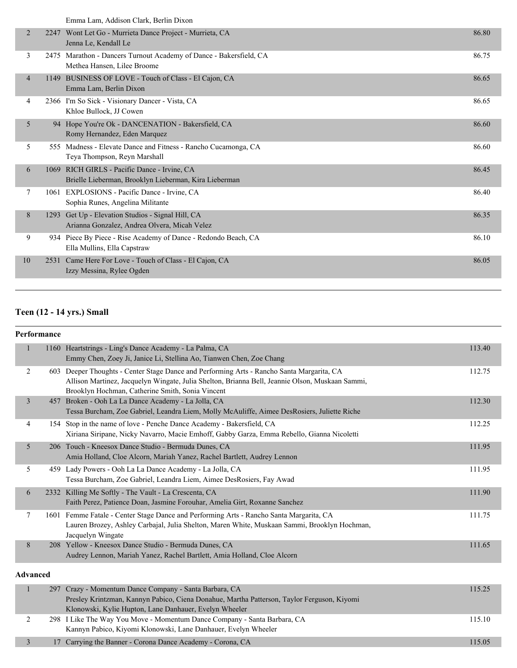|    |      | енний Ейні, і кийбон Сійік, Богин Білон                                                           |       |
|----|------|---------------------------------------------------------------------------------------------------|-------|
| 2  | 2247 | Wont Let Go - Murrieta Dance Project - Murrieta, CA<br>Jenna Le, Kendall Le                       | 86.80 |
| 3  |      | 2475 Marathon - Dancers Turnout Academy of Dance - Bakersfield, CA<br>Methea Hansen, Lilee Broome | 86.75 |
| 4  |      | 1149 BUSINESS OF LOVE - Touch of Class - El Cajon, CA<br>Emma Lam, Berlin Dixon                   | 86.65 |
| 4  |      | 2366 I'm So Sick - Visionary Dancer - Vista, CA<br>Khloe Bullock, JJ Cowen                        | 86.65 |
| 5  |      | 94 Hope You're Ok - DANCENATION - Bakersfield, CA<br>Romy Hernandez, Eden Marquez                 | 86.60 |
| 5  |      | 555 Madness - Elevate Dance and Fitness - Rancho Cucamonga, CA<br>Teya Thompson, Reyn Marshall    | 86.60 |
| 6  | 1069 | RICH GIRLS - Pacific Dance - Irvine, CA<br>Brielle Lieberman, Brooklyn Lieberman, Kira Lieberman  | 86.45 |
| 7  |      | 1061 EXPLOSIONS - Pacific Dance - Irvine, CA<br>Sophia Runes, Angelina Militante                  | 86.40 |
| 8  |      | 1293 Get Up - Elevation Studios - Signal Hill, CA<br>Arianna Gonzalez, Andrea Olvera, Micah Velez | 86.35 |
| 9  |      | 934 Piece By Piece - Rise Academy of Dance - Redondo Beach, CA<br>Ella Mullins, Ella Capstraw     | 86.10 |
| 10 | 2531 | Came Here For Love - Touch of Class - El Cajon, CA<br>Izzy Messina, Rylee Ogden                   | 86.05 |
|    |      |                                                                                                   |       |

## **Teen (12 - 14 yrs.) Small**

#### **Performance**

|                 |     | 1160 Heartstrings - Ling's Dance Academy - La Palma, CA<br>Emmy Chen, Zoey Ji, Janice Li, Stellina Ao, Tianwen Chen, Zoe Chang                                                                                                                   | 113.40 |
|-----------------|-----|--------------------------------------------------------------------------------------------------------------------------------------------------------------------------------------------------------------------------------------------------|--------|
| 2               |     | 603 Deeper Thoughts - Center Stage Dance and Performing Arts - Rancho Santa Margarita, CA<br>Allison Martinez, Jacquelyn Wingate, Julia Shelton, Brianna Bell, Jeannie Olson, Muskaan Sammi,<br>Brooklyn Hochman, Catherine Smith, Sonia Vincent | 112.75 |
| $\overline{3}$  | 457 | Broken - Ooh La La Dance Academy - La Jolla, CA<br>Tessa Burcham, Zoe Gabriel, Leandra Liem, Molly McAuliffe, Aimee DesRosiers, Juliette Riche                                                                                                   | 112.30 |
| 4               |     | 154 Stop in the name of love - Penche Dance Academy - Bakersfield, CA<br>Xiriana Siripane, Nicky Navarro, Macie Emhoff, Gabby Garza, Emma Rebello, Gianna Nicoletti                                                                              | 112.25 |
| 5               |     | 206 Touch - Kneesox Dance Studio - Bermuda Dunes, CA<br>Amia Holland, Cloe Alcorn, Mariah Yanez, Rachel Bartlett, Audrey Lennon                                                                                                                  | 111.95 |
| 5               |     | 459 Lady Powers - Ooh La La Dance Academy - La Jolla, CA<br>Tessa Burcham, Zoe Gabriel, Leandra Liem, Aimee DesRosiers, Fay Awad                                                                                                                 | 111.95 |
| 6               |     | 2332 Killing Me Softly - The Vault - La Crescenta, CA<br>Faith Perez, Patience Doan, Jasmine Forouhar, Amelia Girt, Roxanne Sanchez                                                                                                              | 111.90 |
| 7               |     | 1601 Femme Fatale - Center Stage Dance and Performing Arts - Rancho Santa Margarita, CA<br>Lauren Brozey, Ashley Carbajal, Julia Shelton, Maren White, Muskaan Sammi, Brooklyn Hochman,<br>Jacquelyn Wingate                                     | 111.75 |
| 8               |     | 208 Yellow - Kneesox Dance Studio - Bermuda Dunes, CA<br>Audrey Lennon, Mariah Yanez, Rachel Bartlett, Amia Holland, Cloe Alcorn                                                                                                                 | 111.65 |
| <b>Advanced</b> |     |                                                                                                                                                                                                                                                  |        |
|                 |     | 297 Crazy - Momentum Dance Company - Santa Barbara, CA<br>Presley Krintzman, Kannyn Pabico, Ciena Donahue, Martha Patterson, Taylor Ferguson, Kiyomi<br>Klonowski, Kylie Hupton, Lane Danhauer, Evelyn Wheeler                                   | 115.25 |
| 2               |     | 298 I Like The Way You Move - Momentum Dance Company - Santa Barbara, CA<br>Kannyn Pabico, Kiyomi Klonowski, Lane Danhauer, Evelyn Wheeler                                                                                                       | 115.10 |
| 3               |     | 17 Carrying the Banner - Corona Dance Academy - Corona, CA                                                                                                                                                                                       | 115.05 |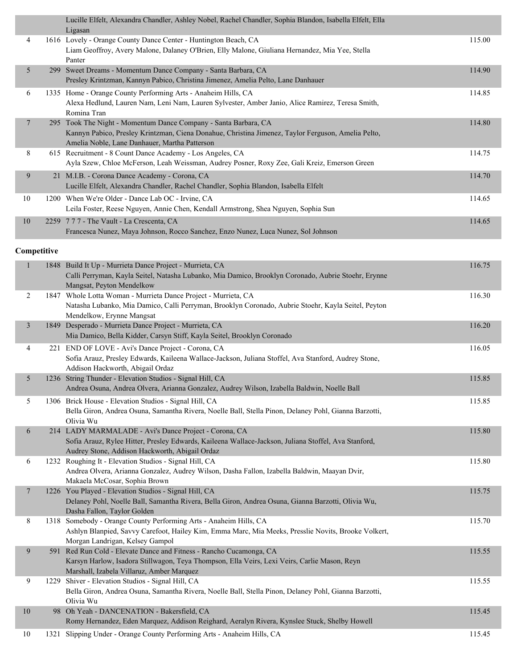|                | Lucille Elfelt, Alexandra Chandler, Ashley Nobel, Rachel Chandler, Sophia Blandon, Isabella Elfelt, Ella<br>Ligasan                                                                                                    |        |
|----------------|------------------------------------------------------------------------------------------------------------------------------------------------------------------------------------------------------------------------|--------|
| 4              | 1616 Lovely - Orange County Dance Center - Huntington Beach, CA                                                                                                                                                        | 115.00 |
|                | Liam Geoffroy, Avery Malone, Dalaney O'Brien, Elly Malone, Giuliana Hernandez, Mia Yee, Stella<br>Panter                                                                                                               |        |
| 5              | 299 Sweet Dreams - Momentum Dance Company - Santa Barbara, CA<br>Presley Krintzman, Kannyn Pabico, Christina Jimenez, Amelia Pelto, Lane Danhauer                                                                      | 114.90 |
| 6              | 1335 Home - Orange County Performing Arts - Anaheim Hills, CA<br>Alexa Hedlund, Lauren Nam, Leni Nam, Lauren Sylvester, Amber Janio, Alice Ramirez, Teresa Smith,<br>Romina Tran                                       | 114.85 |
| $\overline{7}$ | 295 Took The Night - Momentum Dance Company - Santa Barbara, CA<br>Kannyn Pabico, Presley Krintzman, Ciena Donahue, Christina Jimenez, Taylor Ferguson, Amelia Pelto,<br>Amelia Noble, Lane Danhauer, Martha Patterson | 114.80 |
| 8              | 615 Recruitment - 8 Count Dance Academy - Los Angeles, CA<br>Ayla Szew, Chloe McFerson, Leah Weissman, Audrey Posner, Roxy Zee, Gali Kreiz, Emerson Green                                                              | 114.75 |
| 9              | 21 M.I.B. - Corona Dance Academy - Corona, CA<br>Lucille Elfelt, Alexandra Chandler, Rachel Chandler, Sophia Blandon, Isabella Elfelt                                                                                  | 114.70 |
| $10\,$         | 1200 When We're Older - Dance Lab OC - Irvine, CA<br>Leila Foster, Reese Nguyen, Annie Chen, Kendall Armstrong, Shea Nguyen, Sophia Sun                                                                                | 114.65 |
| $10\,$         | 2259 777 - The Vault - La Crescenta, CA<br>Francesca Nunez, Maya Johnson, Rocco Sanchez, Enzo Nunez, Luca Nunez, Sol Johnson                                                                                           | 114.65 |
| Competitive    |                                                                                                                                                                                                                        |        |
|                | 1848 Build It Up - Murrieta Dance Project - Murrieta, CA<br>Calli Perryman, Kayla Seitel, Natasha Lubanko, Mia Damico, Brooklyn Coronado, Aubrie Stoehr, Erynne<br>Mangsat, Peyton Mendelkow                           | 116.75 |
| $\overline{2}$ | 1847 Whole Lotta Woman - Murrieta Dance Project - Murrieta, CA<br>Natasha Lubanko, Mia Damico, Calli Perryman, Brooklyn Coronado, Aubrie Stoehr, Kayla Seitel, Peyton<br>Mendelkow, Erynne Mangsat                     | 116.30 |
| $\mathfrak{Z}$ | 1849 Desperado - Murrieta Dance Project - Murrieta, CA<br>Mia Damico, Bella Kidder, Carsyn Stiff, Kayla Seitel, Brooklyn Coronado                                                                                      | 116.20 |
| 4              | 221 END OF LOVE - Avi's Dance Project - Corona, CA<br>Sofia Arauz, Presley Edwards, Kaileena Wallace-Jackson, Juliana Stoffel, Ava Stanford, Audrey Stone,<br>Addison Hackworth, Abigail Ordaz                         | 116.05 |
| 5              | 1236 String Thunder - Elevation Studios - Signal Hill, CA<br>Andrea Osuna, Andrea Olvera, Arianna Gonzalez, Audrey Wilson, Izabella Baldwin, Noelle Ball                                                               | 115.85 |
| 5              | 1306 Brick House - Elevation Studios - Signal Hill, CA<br>Bella Giron, Andrea Osuna, Samantha Rivera, Noelle Ball, Stella Pinon, Delaney Pohl, Gianna Barzotti,<br>Olivia Wu                                           | 115.85 |
| 6              | 214 LADY MARMALADE - Avi's Dance Project - Corona, CA<br>Sofia Arauz, Rylee Hitter, Presley Edwards, Kaileena Wallace-Jackson, Juliana Stoffel, Ava Stanford,<br>Audrey Stone, Addison Hackworth, Abigail Ordaz        | 115.80 |
| 6              | 1232 Roughing It - Elevation Studios - Signal Hill, CA<br>Andrea Olvera, Arianna Gonzalez, Audrey Wilson, Dasha Fallon, Izabella Baldwin, Maayan Dvir,<br>Makaela McCosar, Sophia Brown                                | 115.80 |
| $\overline{7}$ | 1226 You Played - Elevation Studios - Signal Hill, CA<br>Delaney Pohl, Noelle Ball, Samantha Rivera, Bella Giron, Andrea Osuna, Gianna Barzotti, Olivia Wu,<br>Dasha Fallon, Taylor Golden                             | 115.75 |
| 8              | 1318 Somebody - Orange County Performing Arts - Anaheim Hills, CA<br>Ashlyn Blanpied, Savvy Carefoot, Hailey Kim, Emma Marc, Mia Meeks, Presslie Novits, Brooke Volkert,<br>Morgan Landrigan, Kelsey Gampol            | 115.70 |
| 9              | 591 Red Run Cold - Elevate Dance and Fitness - Rancho Cucamonga, CA<br>Karsyn Harlow, Isadora Stillwagon, Teya Thompson, Ella Veirs, Lexi Veirs, Carlie Mason, Reyn<br>Marshall, Izabela Villaruz, Amber Marquez       | 115.55 |
| 9              | 1229 Shiver - Elevation Studios - Signal Hill, CA<br>Bella Giron, Andrea Osuna, Samantha Rivera, Noelle Ball, Stella Pinon, Delaney Pohl, Gianna Barzotti,<br>Olivia Wu                                                | 115.55 |
| 10             | 98 Oh Yeah - DANCENATION - Bakersfield, CA<br>Romy Hernandez, Eden Marquez, Addison Reighard, Aeralyn Rivera, Kynslee Stuck, Shelby Howell                                                                             | 115.45 |
| 10             | 1321 Slipping Under - Orange County Performing Arts - Anaheim Hills, CA                                                                                                                                                | 115.45 |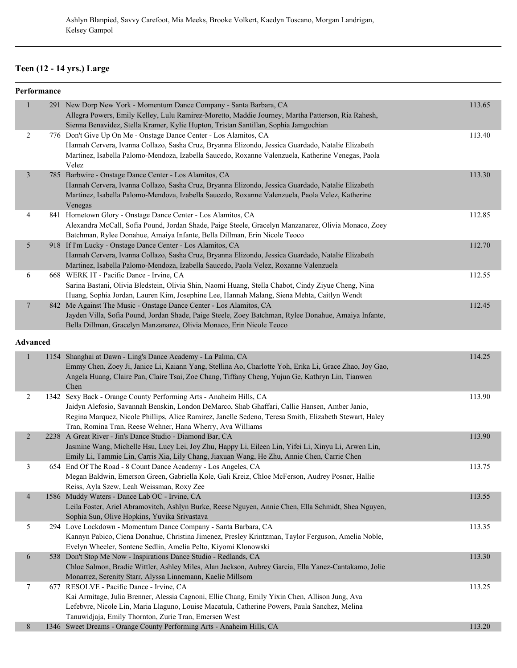## **Teen (12 - 14 yrs.) Large**

|                | Performance |                                                                                                      |        |
|----------------|-------------|------------------------------------------------------------------------------------------------------|--------|
| 1              |             | 291 New Dorp New York - Momentum Dance Company - Santa Barbara, CA                                   | 113.65 |
|                |             | Allegra Powers, Emily Kelley, Lulu Ramirez-Moretto, Maddie Journey, Martha Patterson, Ria Rahesh,    |        |
|                |             | Sienna Benavidez, Stella Kramer, Kylie Hupton, Tristan Santillan, Sophia Jamgochian                  |        |
| 2              |             | 776 Don't Give Up On Me - Onstage Dance Center - Los Alamitos, CA                                    | 113.40 |
|                |             | Hannah Cervera, Ivanna Collazo, Sasha Cruz, Bryanna Elizondo, Jessica Guardado, Natalie Elizabeth    |        |
|                |             | Martinez, Isabella Palomo-Mendoza, Izabella Saucedo, Roxanne Valenzuela, Katherine Venegas, Paola    |        |
|                |             | Velez                                                                                                |        |
| $\overline{3}$ |             | 785 Barbwire - Onstage Dance Center - Los Alamitos, CA                                               | 113.30 |
|                |             | Hannah Cervera, Ivanna Collazo, Sasha Cruz, Bryanna Elizondo, Jessica Guardado, Natalie Elizabeth    |        |
|                |             | Martinez, Isabella Palomo-Mendoza, Izabella Saucedo, Roxanne Valenzuela, Paola Velez, Katherine      |        |
|                |             | Venegas                                                                                              |        |
| 4              |             | 841 Hometown Glory - Onstage Dance Center - Los Alamitos, CA                                         | 112.85 |
|                |             | Alexandra McCall, Sofia Pound, Jordan Shade, Paige Steele, Gracelyn Manzanarez, Olivia Monaco, Zoey  |        |
|                |             | Batchman, Rylee Donahue, Amaiya Infante, Bella Dillman, Erin Nicole Teoco                            |        |
| 5              |             | 918 If I'm Lucky - Onstage Dance Center - Los Alamitos, CA                                           | 112.70 |
|                |             | Hannah Cervera, Ivanna Collazo, Sasha Cruz, Bryanna Elizondo, Jessica Guardado, Natalie Elizabeth    |        |
|                |             | Martinez, Isabella Palomo-Mendoza, Izabella Saucedo, Paola Velez, Roxanne Valenzuela                 |        |
| 6              |             | 668 WERK IT - Pacific Dance - Irvine, CA                                                             | 112.55 |
|                |             | Sarina Bastani, Olivia Bledstein, Olivia Shin, Naomi Huang, Stella Chabot, Cindy Ziyue Cheng, Nina   |        |
|                |             | Huang, Sophia Jordan, Lauren Kim, Josephine Lee, Hannah Malang, Siena Mehta, Caitlyn Wendt           |        |
| $\overline{7}$ |             | 842 Me Against The Music - Onstage Dance Center - Los Alamitos, CA                                   | 112.45 |
|                |             | Jayden Villa, Sofia Pound, Jordan Shade, Paige Steele, Zoey Batchman, Rylee Donahue, Amaiya Infante, |        |
|                |             | Bella Dillman, Gracelyn Manzanarez, Olivia Monaco, Erin Nicole Teoco                                 |        |

#### **Advanced**

|                |      | 1154 Shanghai at Dawn - Ling's Dance Academy - La Palma, CA<br>Emmy Chen, Zoey Ji, Janice Li, Kaiann Yang, Stellina Ao, Charlotte Yoh, Erika Li, Grace Zhao, Joy Gao,<br>Angela Huang, Claire Pan, Claire Tsai, Zoe Chang, Tiffany Cheng, Yujun Ge, Kathryn Lin, Tianwen<br>Chen                                                       | 114.25 |
|----------------|------|----------------------------------------------------------------------------------------------------------------------------------------------------------------------------------------------------------------------------------------------------------------------------------------------------------------------------------------|--------|
| 2              | 1342 | Sexy Back - Orange County Performing Arts - Anaheim Hills, CA<br>Jaidyn Alefosio, Savannah Benskin, London DeMarco, Shab Ghaffari, Callie Hansen, Amber Janio,<br>Regina Marquez, Nicole Phillips, Alice Ramirez, Janelle Sedeno, Teresa Smith, Elizabeth Stewart, Haley<br>Tran, Romina Tran, Reese Wehner, Hana Wherry, Ava Williams | 113.90 |
| $\overline{2}$ |      | 2238 A Great River - Jin's Dance Studio - Diamond Bar, CA<br>Jasmine Wang, Michelle Hsu, Lucy Lei, Joy Zhu, Happy Li, Eileen Lin, Yifei Li, Xinyu Li, Arwen Lin,<br>Emily Li, Tammie Lin, Carris Xia, Lily Chang, Jiaxuan Wang, He Zhu, Annie Chen, Carrie Chen                                                                        | 113.90 |
| 3              |      | 654 End Of The Road - 8 Count Dance Academy - Los Angeles, CA<br>Megan Baldwin, Emerson Green, Gabriella Kole, Gali Kreiz, Chloe McFerson, Audrey Posner, Hallie<br>Reiss, Ayla Szew, Leah Weissman, Roxy Zee                                                                                                                          | 113.75 |
| $\overline{4}$ |      | 1586 Muddy Waters - Dance Lab OC - Irvine, CA<br>Leila Foster, Ariel Abramovitch, Ashlyn Burke, Reese Nguyen, Annie Chen, Ella Schmidt, Shea Nguyen,<br>Sophia Sun, Olive Hopkins, Yuvika Srivastava                                                                                                                                   | 113.55 |
| 5              |      | 294 Love Lockdown - Momentum Dance Company - Santa Barbara, CA<br>Kannyn Pabico, Ciena Donahue, Christina Jimenez, Presley Krintzman, Taylor Ferguson, Amelia Noble,<br>Evelyn Wheeler, Sontene Sedlin, Amelia Pelto, Kiyomi Klonowski                                                                                                 | 113.35 |
| 6              | 538  | Don't Stop Me Now - Inspirations Dance Studio - Redlands, CA<br>Chloe Salmon, Bradie Wittler, Ashley Miles, Alan Jackson, Aubrey Garcia, Ella Yanez-Cantakamo, Jolie<br>Monarrez, Serenity Starr, Alyssa Linnemann, Kaelie Millsom                                                                                                     | 113.30 |
| 7              | 677  | RESOLVE - Pacific Dance - Irvine, CA<br>Kai Armitage, Julia Brenner, Alessia Cagnoni, Ellie Chang, Emily Yixin Chen, Allison Jung, Ava<br>Lefebvre, Nicole Lin, Maria Llaguno, Louise Macatula, Catherine Powers, Paula Sanchez, Melina<br>Tanuwidjaja, Emily Thornton, Zurie Tran, Emersen West                                       | 113.25 |
| 8              |      | 1346 Sweet Dreams - Orange County Performing Arts - Anaheim Hills, CA                                                                                                                                                                                                                                                                  | 113.20 |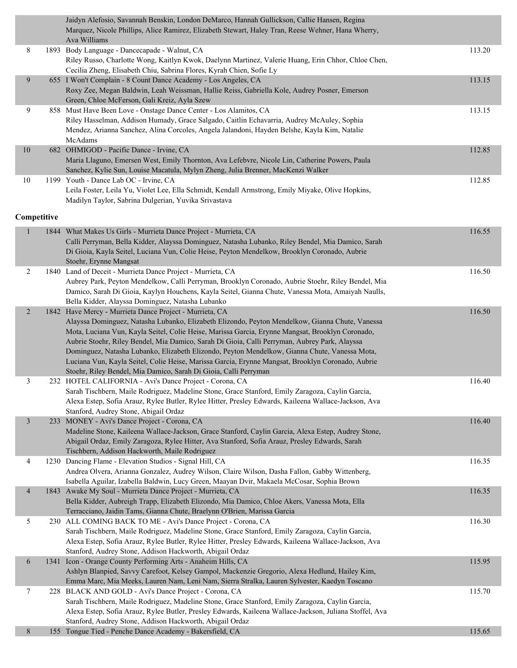|                | Jaidyn Alefosio, Savannah Benskin, London DeMarco, Hannah Gullickson, Callie Hansen, Regina<br>Marquez, Nicole Phillips, Alice Ramirez, Elizabeth Stewart, Haley Tran, Reese Wehner, Hana Wherry,<br>Ava Williams |        |
|----------------|-------------------------------------------------------------------------------------------------------------------------------------------------------------------------------------------------------------------|--------|
| 8              | 1893 Body Language - Dancecapade - Walnut, CA<br>Riley Russo, Charlotte Wong, Kaitlyn Kwok, Daelynn Martinez, Valerie Huang, Erin Chhor, Chloe Chen,                                                              | 113.20 |
|                | Cecilia Zheng, Elisabeth Chiu, Sabrina Flores, Kyrah Chien, Sofie Ly                                                                                                                                              |        |
| 9              | 655 I Won't Complain - 8 Count Dance Academy - Los Angeles, CA                                                                                                                                                    | 113.15 |
|                | Roxy Zee, Megan Baldwin, Leah Weissman, Hallie Reiss, Gabriella Kole, Audrey Posner, Emerson                                                                                                                      |        |
|                | Green, Chloe McFerson, Gali Kreiz, Ayla Szew                                                                                                                                                                      |        |
| 9              | 858 Must Have Been Love - Onstage Dance Center - Los Alamitos, CA                                                                                                                                                 | 113.15 |
|                | Riley Hasselman, Addison Humady, Grace Salgado, Caitlin Echavarria, Audrey McAuley, Sophia                                                                                                                        |        |
|                | Mendez, Arianna Sanchez, Alina Corcoles, Angela Jalandoni, Hayden Belshe, Kayla Kim, Natalie                                                                                                                      |        |
|                | McAdams                                                                                                                                                                                                           |        |
| $10\,$         | 682 OHMIGOD - Pacific Dance - Irvine, CA                                                                                                                                                                          | 112.85 |
|                | Maria Llaguno, Emersen West, Emily Thornton, Ava Lefebvre, Nicole Lin, Catherine Powers, Paula                                                                                                                    |        |
|                | Sanchez, Kylie Sun, Louise Macatula, Mylyn Zheng, Julia Brenner, MacKenzi Walker                                                                                                                                  |        |
| 10             | 1199 Youth - Dance Lab OC - Irvine, CA                                                                                                                                                                            | 112.85 |
|                | Leila Foster, Leila Yu, Violet Lee, Ella Schmidt, Kendall Armstrong, Emily Miyake, Olive Hopkins,                                                                                                                 |        |
|                | Madilyn Taylor, Sabrina Dulgerian, Yuvika Srivastava                                                                                                                                                              |        |
|                |                                                                                                                                                                                                                   |        |
| Competitive    |                                                                                                                                                                                                                   |        |
| $\mathbf{1}$   | 1844 What Makes Us Girls - Murrieta Dance Project - Murrieta, CA                                                                                                                                                  | 116.55 |
|                | Calli Perryman, Bella Kidder, Alayssa Dominguez, Natasha Lubanko, Riley Bendel, Mia Damico, Sarah                                                                                                                 |        |
|                | Di Gioia, Kayla Seitel, Luciana Vun, Colie Heise, Peyton Mendelkow, Brooklyn Coronado, Aubrie                                                                                                                     |        |
|                | Stoehr, Erynne Mangsat                                                                                                                                                                                            |        |
| 2              | 1840 Land of Deceit - Murrieta Dance Project - Murrieta, CA                                                                                                                                                       | 116.50 |
|                | Aubrey Park, Peyton Mendelkow, Calli Perryman, Brooklyn Coronado, Aubrie Stoehr, Riley Bendel, Mia                                                                                                                |        |
|                | Damico, Sarah Di Gioia, Kaylyn Houchens, Kayla Seitel, Gianna Chute, Vanessa Mota, Amaiyah Naulls,                                                                                                                |        |
|                | Bella Kidder, Alayssa Dominguez, Natasha Lubanko                                                                                                                                                                  |        |
| $\overline{c}$ | 1842 Have Mercy - Murrieta Dance Project - Murrieta, CA                                                                                                                                                           | 116.50 |
|                | Alayssa Dominguez, Natasha Lubanko, Elizabeth Elizondo, Peyton Mendelkow, Gianna Chute, Vanessa                                                                                                                   |        |
|                | Mota, Luciana Vun, Kayla Seitel, Colie Heise, Marissa Garcia, Erynne Mangsat, Brooklyn Coronado,                                                                                                                  |        |
|                | Aubrie Stoehr, Riley Bendel, Mia Damico, Sarah Di Gioia, Calli Perryman, Aubrey Park, Alayssa                                                                                                                     |        |
|                | Dominguez, Natasha Lubanko, Elizabeth Elizondo, Peyton Mendelkow, Gianna Chute, Vanessa Mota,                                                                                                                     |        |
|                | Luciana Vun, Kayla Seitel, Colie Heise, Marissa Garcia, Erynne Mangsat, Brooklyn Coronado, Aubrie                                                                                                                 |        |
|                | Stoehr, Riley Bendel, Mia Damico, Sarah Di Gioia, Calli Perryman                                                                                                                                                  |        |
| 3              | 232 HOTEL CALIFORNIA - Avi's Dance Project - Corona, CA                                                                                                                                                           | 116.40 |
|                | Sarah Tischbern, Maile Rodriguez, Madeline Stone, Grace Stanford, Emily Zaragoza, Caylin Garcia,                                                                                                                  |        |
|                | Alexa Estep, Sofia Arauz, Rylee Butler, Rylee Hitter, Presley Edwards, Kaileena Wallace-Jackson, Ava                                                                                                              |        |
|                | Stanford, Audrey Stone, Abigail Ordaz                                                                                                                                                                             |        |
| $\mathfrak{Z}$ | 233 MONEY - Avi's Dance Project - Corona, CA                                                                                                                                                                      | 116.40 |
|                | Madeline Stone, Kaileena Wallace-Jackson, Grace Stanford, Caylin Garcia, Alexa Estep, Audrey Stone,                                                                                                               |        |
|                | Abigail Ordaz, Emily Zaragoza, Rylee Hitter, Ava Stanford, Sofia Arauz, Presley Edwards, Sarah                                                                                                                    |        |
|                | Tischbern, Addison Hackworth, Maile Rodriguez                                                                                                                                                                     |        |
| 4              | 1230 Dancing Flame - Elevation Studios - Signal Hill, CA                                                                                                                                                          | 116.35 |
|                | Andrea Olvera, Arianna Gonzalez, Audrey Wilson, Claire Wilson, Dasha Fallon, Gabby Wittenberg,                                                                                                                    |        |
|                | Isabella Aguilar, Izabella Baldwin, Lucy Green, Maayan Dvir, Makaela McCosar, Sophia Brown                                                                                                                        |        |
| $\overline{4}$ | 1843 Awake My Soul - Murrieta Dance Project - Murrieta, CA                                                                                                                                                        | 116.35 |
|                | Bella Kidder, Aubreigh Trapp, Elizabeth Elizondo, Mia Damico, Chloe Akers, Vanessa Mota, Ella                                                                                                                     |        |
|                | Terracciano, Jaidin Tams, Gianna Chute, Braelynn O'Brien, Marissa Garcia                                                                                                                                          |        |
| 5              | 230 ALL COMING BACK TO ME - Avi's Dance Project - Corona, CA                                                                                                                                                      | 116.30 |
|                | Sarah Tischbern, Maile Rodriguez, Madeline Stone, Grace Stanford, Emily Zaragoza, Caylin Garcia,                                                                                                                  |        |
|                | Alexa Estep, Sofia Arauz, Rylee Butler, Rylee Hitter, Presley Edwards, Kaileena Wallace-Jackson, Ava                                                                                                              |        |
|                | Stanford, Audrey Stone, Addison Hackworth, Abigail Ordaz                                                                                                                                                          |        |
| 6              | 1341 Icon - Orange County Performing Arts - Anaheim Hills, CA                                                                                                                                                     | 115.95 |
|                | Ashlyn Blanpied, Savvy Carefoot, Kelsey Gampol, Mackenzie Gregorio, Alexa Hedlund, Hailey Kim,                                                                                                                    |        |
|                | Emma Marc, Mia Meeks, Lauren Nam, Leni Nam, Sierra Stralka, Lauren Sylvester, Kaedyn Toscano                                                                                                                      |        |
| 7              | 228 BLACK AND GOLD - Avi's Dance Project - Corona, CA<br>Sarah Tischbern, Maile Rodriguez, Madeline Stone, Grace Stanford, Emily Zaragoza, Caylin Garcia,                                                         | 115.70 |
|                | Alexa Estep, Sofia Arauz, Rylee Butler, Presley Edwards, Kaileena Wallace-Jackson, Juliana Stoffel, Ava                                                                                                           |        |
|                | Stanford, Audrey Stone, Addison Hackworth, Abigail Ordaz                                                                                                                                                          |        |
| 8              | 155 Tongue Tied - Penche Dance Academy - Bakersfield, CA                                                                                                                                                          | 115.65 |
|                |                                                                                                                                                                                                                   |        |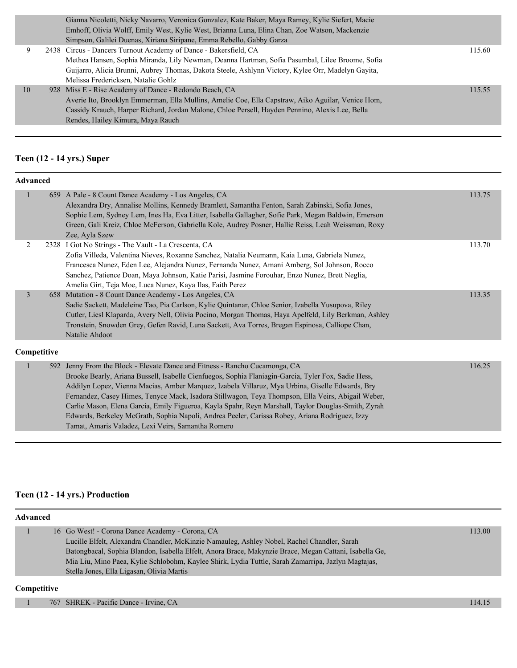|    | Gianna Nicoletti, Nicky Navarro, Veronica Gonzalez, Kate Baker, Maya Ramey, Kylie Siefert, Macie   |        |
|----|----------------------------------------------------------------------------------------------------|--------|
|    | Emhoff, Olivia Wolff, Emily West, Kylie West, Brianna Luna, Elina Chan, Zoe Watson, Mackenzie      |        |
|    | Simpson, Galilei Duenas, Xiriana Siripane, Emma Rebello, Gabby Garza                               |        |
| 9  | 2438 Circus - Dancers Turnout Academy of Dance - Bakersfield, CA                                   | 115.60 |
|    | Methea Hansen, Sophia Miranda, Lily Newman, Deanna Hartman, Sofia Pasumbal, Lilee Broome, Sofia    |        |
|    | Guijarro, Alicia Brunni, Aubrey Thomas, Dakota Steele, Ashlynn Victory, Kylee Orr, Madelyn Gayita, |        |
|    | Melissa Fredericksen, Natalie Gohlz                                                                |        |
| 10 | 928 Miss E - Rise Academy of Dance - Redondo Beach, CA                                             | 115.55 |
|    | Averie Ito, Brooklyn Emmerman, Ella Mullins, Amelie Coe, Ella Capstraw, Aiko Aguilar, Venice Hom,  |        |
|    | Cassidy Krauch, Harper Richard, Jordan Malone, Chloe Persell, Hayden Pennino, Alexis Lee, Bella    |        |
|    | Rendes, Hailey Kimura, Maya Rauch                                                                  |        |
|    |                                                                                                    |        |

## **Teen (12 - 14 yrs.) Super**

| <b>Advanced</b> |             |                                                                                                                                                                                                                                                                                                                                                                                                                                                                                                                                                                                                                                                            |        |
|-----------------|-------------|------------------------------------------------------------------------------------------------------------------------------------------------------------------------------------------------------------------------------------------------------------------------------------------------------------------------------------------------------------------------------------------------------------------------------------------------------------------------------------------------------------------------------------------------------------------------------------------------------------------------------------------------------------|--------|
| 1               |             | 659 A Pale - 8 Count Dance Academy - Los Angeles, CA<br>Alexandra Dry, Annalise Mollins, Kennedy Bramlett, Samantha Fenton, Sarah Zabinski, Sofia Jones,<br>Sophie Lem, Sydney Lem, Ines Ha, Eva Litter, Isabella Gallagher, Sofie Park, Megan Baldwin, Emerson<br>Green, Gali Kreiz, Chloe McFerson, Gabriella Kole, Audrey Posner, Hallie Reiss, Leah Weissman, Roxy<br>Zee, Ayla Szew                                                                                                                                                                                                                                                                   | 113.75 |
| 2               |             | 2328 I Got No Strings - The Vault - La Crescenta, CA<br>Zofia Villeda, Valentina Nieves, Roxanne Sanchez, Natalia Neumann, Kaia Luna, Gabriela Nunez,<br>Francesca Nunez, Eden Lee, Alejandra Nunez, Fernanda Nunez, Amani Amberg, Sol Johnson, Rocco<br>Sanchez, Patience Doan, Maya Johnson, Katie Parisi, Jasmine Forouhar, Enzo Nunez, Brett Neglia,<br>Amelia Girt, Teja Moe, Luca Nunez, Kaya Ilas, Faith Perez                                                                                                                                                                                                                                      | 113.70 |
| $\overline{3}$  |             | 658 Mutation - 8 Count Dance Academy - Los Angeles, CA<br>Sadie Sackett, Madeleine Tao, Pia Carlson, Kylie Quintanar, Chloe Senior, Izabella Yusupova, Riley<br>Cutler, Liesl Klaparda, Avery Nell, Olivia Pocino, Morgan Thomas, Haya Apelfeld, Lily Berkman, Ashley<br>Tronstein, Snowden Grey, Gefen Ravid, Luna Sackett, Ava Torres, Bregan Espinosa, Calliope Chan,<br>Natalie Ahdoot                                                                                                                                                                                                                                                                 | 113.35 |
|                 | Competitive |                                                                                                                                                                                                                                                                                                                                                                                                                                                                                                                                                                                                                                                            |        |
| п               |             | 592 Jenny From the Block - Elevate Dance and Fitness - Rancho Cucamonga, CA<br>Brooke Bearly, Ariana Bussell, Isabelle Cienfuegos, Sophia Flaniagin-Garcia, Tyler Fox, Sadie Hess,<br>Addilyn Lopez, Vienna Macias, Amber Marquez, Izabela Villaruz, Mya Urbina, Giselle Edwards, Bry<br>Fernandez, Casey Himes, Tenyce Mack, Isadora Stillwagon, Teya Thompson, Ella Veirs, Abigail Weber,<br>Carlie Mason, Elena Garcia, Emily Figueroa, Kayla Spahr, Reyn Marshall, Taylor Douglas-Smith, Zyrah<br>Edwards, Berkeley McGrath, Sophia Napoli, Andrea Peeler, Carissa Robey, Ariana Rodriguez, Izzy<br>Tamat, Amaris Valadez, Lexi Veirs, Samantha Romero | 116.25 |

## **Teen (12 - 14 yrs.) Production**

| Advanced           |                                                                                                        |        |
|--------------------|--------------------------------------------------------------------------------------------------------|--------|
|                    | 16 Go West! - Corona Dance Academy - Corona, CA                                                        | 113.00 |
|                    | Lucille Elfelt, Alexandra Chandler, McKinzie Namauleg, Ashley Nobel, Rachel Chandler, Sarah            |        |
|                    | Batongbacal, Sophia Blandon, Isabella Elfelt, Anora Brace, Makynzie Brace, Megan Cattani, Isabella Ge, |        |
|                    | Mia Liu, Mino Paea, Kylie Schlobohm, Kaylee Shirk, Lydia Tuttle, Sarah Zamarripa, Jazlyn Magtajas,     |        |
|                    | Stella Jones, Ella Ligasan, Olivia Martis                                                              |        |
| <b>Competitive</b> |                                                                                                        |        |

1 767 SHREK - Pacific Dance - Irvine, CA 114.15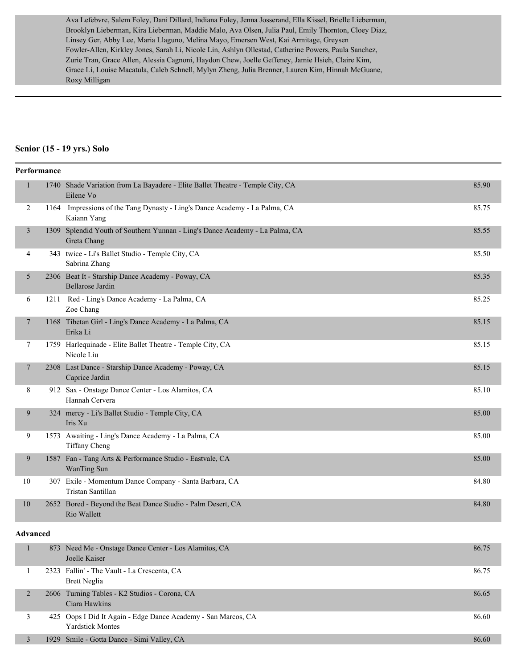Ava Lefebvre, Salem Foley, Dani Dillard, Indiana Foley, Jenna Josserand, Ella Kissel, Brielle Lieberman, Brooklyn Lieberman, Kira Lieberman, Maddie Malo, Ava Olsen, Julia Paul, Emily Thornton, Cloey Diaz, Linsey Ger, Abby Lee, Maria Llaguno, Melina Mayo, Emersen West, Kai Armitage, Greysen Fowler-Allen, Kirkley Jones, Sarah Li, Nicole Lin, Ashlyn Ollestad, Catherine Powers, Paula Sanchez, Zurie Tran, Grace Allen, Alessia Cagnoni, Haydon Chew, Joelle Geffeney, Jamie Hsieh, Claire Kim, Grace Li, Louise Macatula, Caleb Schnell, Mylyn Zheng, Julia Brenner, Lauren Kim, Hinnah McGuane, Roxy Milligan

#### **Senior (15 - 19 yrs.) Solo**

| Performance  |                                                                                             |       |
|--------------|---------------------------------------------------------------------------------------------|-------|
| $\mathbf{1}$ | 1740 Shade Variation from La Bayadere - Elite Ballet Theatre - Temple City, CA<br>Eilene Vo | 85.90 |
| 2            | 1164 Impressions of the Tang Dynasty - Ling's Dance Academy - La Palma, CA<br>Kaiann Yang   | 85.75 |
| 3            | 1309 Splendid Youth of Southern Yunnan - Ling's Dance Academy - La Palma, CA<br>Greta Chang | 85.55 |
| 4            | 343 twice - Li's Ballet Studio - Temple City, CA<br>Sabrina Zhang                           | 85.50 |
| 5            | 2306 Beat It - Starship Dance Academy - Poway, CA<br>Bellarose Jardin                       | 85.35 |
| 6            | 1211 Red - Ling's Dance Academy - La Palma, CA<br>Zoe Chang                                 | 85.25 |
| $\tau$       | 1168 Tibetan Girl - Ling's Dance Academy - La Palma, CA<br>Erika Li                         | 85.15 |
| 7            | 1759 Harlequinade - Elite Ballet Theatre - Temple City, CA<br>Nicole Liu                    | 85.15 |
| $\tau$       | 2308 Last Dance - Starship Dance Academy - Poway, CA<br>Caprice Jardin                      | 85.15 |
| 8            | 912 Sax - Onstage Dance Center - Los Alamitos, CA<br>Hannah Cervera                         | 85.10 |
| 9            | 324 mercy - Li's Ballet Studio - Temple City, CA<br>Iris Xu                                 | 85.00 |
| 9            | 1573 Awaiting - Ling's Dance Academy - La Palma, CA<br>Tiffany Cheng                        | 85.00 |
| 9            | 1587 Fan - Tang Arts & Performance Studio - Eastvale, CA<br>WanTing Sun                     | 85.00 |
| 10           | 307 Exile - Momentum Dance Company - Santa Barbara, CA<br>Tristan Santillan                 | 84.80 |
| 10           | 2652 Bored - Beyond the Beat Dance Studio - Palm Desert, CA<br>Rio Wallett                  | 84.80 |

#### **Advanced**

|  | 873 Need Me - Onstage Dance Center - Los Alamitos, CA<br>Joelle Kaiser                   | 86.75 |
|--|------------------------------------------------------------------------------------------|-------|
|  | 2323 Fallin' - The Vault - La Crescenta, CA<br>Brett Neglia                              | 86.75 |
|  | 2606 Turning Tables - K2 Studios - Corona, CA<br>Ciara Hawkins                           | 86.65 |
|  | 425 Oops I Did It Again - Edge Dance Academy - San Marcos, CA<br><b>Yardstick Montes</b> | 86.60 |
|  | 1929 Smile - Gotta Dance - Simi Valley, CA                                               | 86.60 |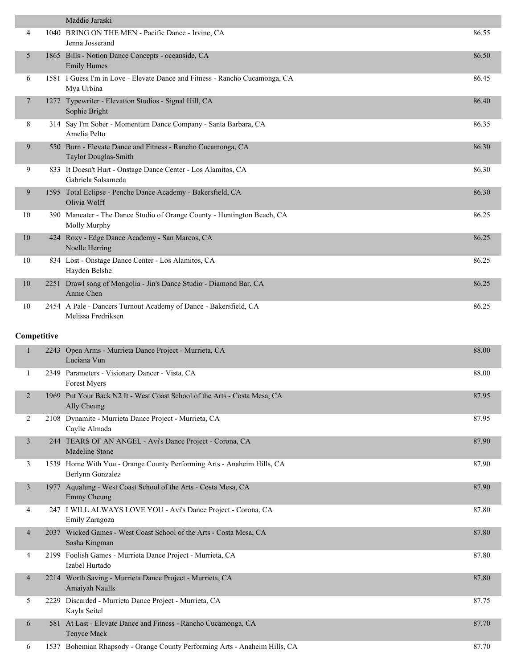|                | Maddie Jaraski                                                                             |       |
|----------------|--------------------------------------------------------------------------------------------|-------|
| 4              | 1040 BRING ON THE MEN - Pacific Dance - Irvine, CA<br>Jenna Josserand                      | 86.55 |
| 5              | 1865 Bills - Notion Dance Concepts - oceanside, CA<br><b>Emily Humes</b>                   | 86.50 |
| 6              | 1581 I Guess I'm in Love - Elevate Dance and Fitness - Rancho Cucamonga, CA<br>Mya Urbina  | 86.45 |
| 7              | 1277 Typewriter - Elevation Studios - Signal Hill, CA<br>Sophie Bright                     | 86.40 |
| 8              | 314 Say I'm Sober - Momentum Dance Company - Santa Barbara, CA<br>Amelia Pelto             | 86.35 |
| 9              | 550 Burn - Elevate Dance and Fitness - Rancho Cucamonga, CA<br>Taylor Douglas-Smith        | 86.30 |
| 9              | 833 It Doesn't Hurt - Onstage Dance Center - Los Alamitos, CA<br>Gabriela Salsameda        | 86.30 |
| 9              | 1595 Total Eclipse - Penche Dance Academy - Bakersfield, CA<br>Olivia Wolff                | 86.30 |
| 10             | 390 Maneater - The Dance Studio of Orange County - Huntington Beach, CA<br>Molly Murphy    | 86.25 |
| 10             | 424 Roxy - Edge Dance Academy - San Marcos, CA<br>Noelle Herring                           | 86.25 |
| 10             | 834 Lost - Onstage Dance Center - Los Alamitos, CA<br>Hayden Belshe                        | 86.25 |
| 10             | 2251 Drawl song of Mongolia - Jin's Dance Studio - Diamond Bar, CA<br>Annie Chen           | 86.25 |
| 10             | 2454 A Pale - Dancers Turnout Academy of Dance - Bakersfield, CA<br>Melissa Fredriksen     | 86.25 |
| Competitive    |                                                                                            |       |
| 1              | 2243 Open Arms - Murrieta Dance Project - Murrieta, CA<br>Luciana Vun                      | 88.00 |
| $\mathbf{1}$   | 2349 Parameters - Visionary Dancer - Vista, CA<br>Forest Myers                             | 88.00 |
| 2              | 1969 Put Your Back N2 It - West Coast School of the Arts - Costa Mesa, CA<br>Ally Cheung   | 87.95 |
| 2              | 2108 Dynamite - Murrieta Dance Project - Murrieta, CA<br>Caylie Almada                     | 87.95 |
| $\mathfrak{Z}$ | 244 TEARS OF AN ANGEL - Avi's Dance Project - Corona, CA<br>Madeline Stone                 | 87.90 |
| 3              | 1539 Home With You - Orange County Performing Arts - Anaheim Hills, CA<br>Berlynn Gonzalez | 87.90 |
| $\mathfrak{Z}$ | 1977 Aqualung - West Coast School of the Arts - Costa Mesa, CA<br>Emmy Cheung              | 87.90 |
| 4              | 247 I WILL ALWAYS LOVE YOU - Avi's Dance Project - Corona, CA                              | 87.80 |

Emily Zaragoza 4 2037 Wicked Games - West Coast School of the Arts - Costa Mesa, CA 87.80 Sasha Kingman 4 2199 Foolish Games - Murrieta Dance Project - Murrieta, CA 87.80 Izabel Hurtado 4 2214 Worth Saving - Murrieta Dance Project - Murrieta, CA 87.80 Amaiyah Naulls 5 2229 Discarded - Murrieta Dance Project - Murrieta, CA 87.75 Kayla Seitel 6 581 At Last - Elevate Dance and Fitness - Rancho Cucamonga, CA 87.70 Tenyce Mack

6 1537 Bohemian Rhapsody - Orange County Performing Arts - Anaheim Hills, CA 87.70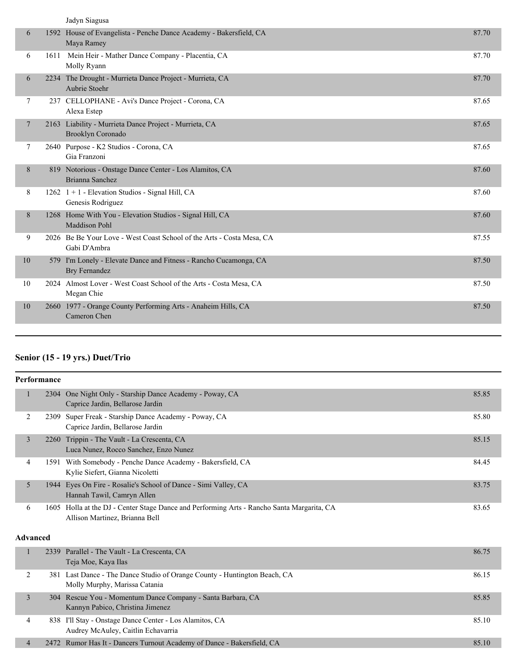|                | Jadyn Siagusa                                                                         |       |
|----------------|---------------------------------------------------------------------------------------|-------|
| 6              | 1592 House of Evangelista - Penche Dance Academy - Bakersfield, CA<br>Maya Ramey      | 87.70 |
| 6              | 1611 Mein Heir - Mather Dance Company - Placentia, CA<br>Molly Ryann                  | 87.70 |
| 6              | 2234 The Drought - Murrieta Dance Project - Murrieta, CA<br>Aubrie Stoehr             | 87.70 |
| 7              | 237 CELLOPHANE - Avi's Dance Project - Corona, CA<br>Alexa Estep                      | 87.65 |
| $\overline{7}$ | 2163 Liability - Murrieta Dance Project - Murrieta, CA<br>Brooklyn Coronado           | 87.65 |
| 7              | 2640 Purpose - K2 Studios - Corona, CA<br>Gia Franzoni                                | 87.65 |
| 8              | 819 Notorious - Onstage Dance Center - Los Alamitos, CA<br>Brianna Sanchez            | 87.60 |
| 8              | 1262 $1+1$ - Elevation Studios - Signal Hill, CA<br>Genesis Rodriguez                 | 87.60 |
| 8              | 1268 Home With You - Elevation Studios - Signal Hill, CA<br><b>Maddison Pohl</b>      | 87.60 |
| 9              | 2026 Be Be Your Love - West Coast School of the Arts - Costa Mesa, CA<br>Gabi D'Ambra | 87.55 |
| 10             | 579 I'm Lonely - Elevate Dance and Fitness - Rancho Cucamonga, CA<br>Bry Fernandez    | 87.50 |
| 10             | 2024 Almost Lover - West Coast School of the Arts - Costa Mesa, CA<br>Megan Chie      | 87.50 |
| 10             | 2660 1977 - Orange County Performing Arts - Anaheim Hills, CA<br>Cameron Chen         | 87.50 |

## **Senior (15 - 19 yrs.) Duet/Trio**

|                 | Performance |                                                                                                                              |       |
|-----------------|-------------|------------------------------------------------------------------------------------------------------------------------------|-------|
|                 |             | 2304 One Night Only - Starship Dance Academy - Poway, CA<br>Caprice Jardin, Bellarose Jardin                                 | 85.85 |
| 2               | 2309        | Super Freak - Starship Dance Academy - Poway, CA<br>Caprice Jardin, Bellarose Jardin                                         | 85.80 |
| $\mathfrak{Z}$  |             | 2260 Trippin - The Vault - La Crescenta, CA<br>Luca Nunez, Rocco Sanchez, Enzo Nunez                                         | 85.15 |
| 4               |             | 1591 With Somebody - Penche Dance Academy - Bakersfield, CA<br>Kylie Siefert, Gianna Nicoletti                               | 84.45 |
| 5               |             | 1944 Eyes On Fire - Rosalie's School of Dance - Simi Valley, CA<br>Hannah Tawil, Camryn Allen                                | 83.75 |
| 6               |             | 1605 Holla at the DJ - Center Stage Dance and Performing Arts - Rancho Santa Margarita, CA<br>Allison Martinez, Brianna Bell | 83.65 |
| <b>Advanced</b> |             |                                                                                                                              |       |
| 1               |             | 2339 Parallel - The Vault - La Crescenta, CA<br>Teja Moe, Kaya Ilas                                                          | 86.75 |
| $\overline{c}$  |             | 381 Last Dance - The Dance Studio of Orange County - Huntington Beach, CA<br>Molly Murphy, Marissa Catania                   | 86.15 |
| $\overline{3}$  | 304         | Rescue You - Momentum Dance Company - Santa Barbara, CA<br>Kannyn Pabico, Christina Jimenez                                  | 85.85 |
| 4               |             | 838 I'll Stay - Onstage Dance Center - Los Alamitos, CA<br>Audrey McAuley, Caitlin Echavarria                                | 85.10 |
| $\overline{4}$  |             | 2472 Rumor Has It - Dancers Turnout Academy of Dance - Bakersfield, CA                                                       | 85.10 |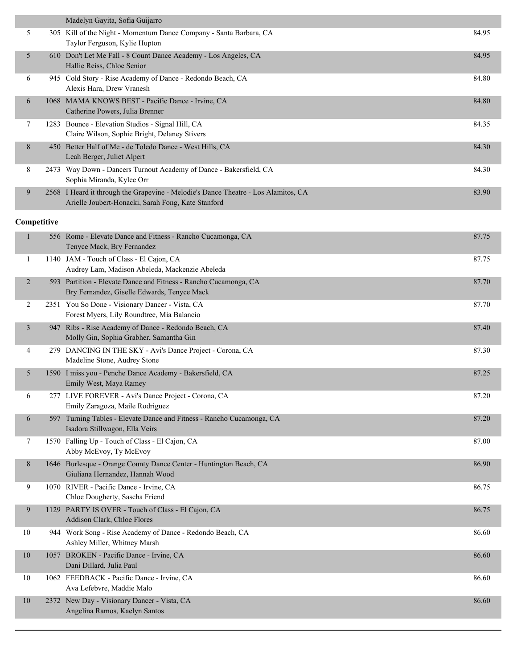|                | Madelyn Gayita, Sofia Guijarro                                                                                                           |       |
|----------------|------------------------------------------------------------------------------------------------------------------------------------------|-------|
| 5              | 305 Kill of the Night - Momentum Dance Company - Santa Barbara, CA<br>Taylor Ferguson, Kylie Hupton                                      | 84.95 |
| 5              | 610 Don't Let Me Fall - 8 Count Dance Academy - Los Angeles, CA<br>Hallie Reiss, Chloe Senior                                            | 84.95 |
| 6              | 945 Cold Story - Rise Academy of Dance - Redondo Beach, CA<br>Alexis Hara, Drew Vranesh                                                  | 84.80 |
| 6              | 1068 MAMA KNOWS BEST - Pacific Dance - Irvine, CA<br>Catherine Powers, Julia Brenner                                                     | 84.80 |
| 7              | 1283 Bounce - Elevation Studios - Signal Hill, CA<br>Claire Wilson, Sophie Bright, Delaney Stivers                                       | 84.35 |
| 8              | 450 Better Half of Me - de Toledo Dance - West Hills, CA<br>Leah Berger, Juliet Alpert                                                   | 84.30 |
| 8              | 2473 Way Down - Dancers Turnout Academy of Dance - Bakersfield, CA<br>Sophia Miranda, Kylee Orr                                          | 84.30 |
| 9              | 2568 I Heard it through the Grapevine - Melodie's Dance Theatre - Los Alamitos, CA<br>Arielle Joubert-Honacki, Sarah Fong, Kate Stanford | 83.90 |
| Competitive    |                                                                                                                                          |       |
| $\mathbf{1}$   | 556 Rome - Elevate Dance and Fitness - Rancho Cucamonga, CA<br>Tenyce Mack, Bry Fernandez                                                | 87.75 |
| 1              | 1140 JAM - Touch of Class - El Cajon, CA<br>Audrey Lam, Madison Abeleda, Mackenzie Abeleda                                               | 87.75 |
| $\overline{2}$ | 593 Partition - Elevate Dance and Fitness - Rancho Cucamonga, CA<br>Bry Fernandez, Giselle Edwards, Tenyce Mack                          | 87.70 |
| 2              | 2351 You So Done - Visionary Dancer - Vista, CA<br>Forest Myers, Lily Roundtree, Mia Balancio                                            | 87.70 |
| $\mathfrak{Z}$ | 947 Ribs - Rise Academy of Dance - Redondo Beach, CA<br>Molly Gin, Sophia Grabher, Samantha Gin                                          | 87.40 |
| 4              | 279 DANCING IN THE SKY - Avi's Dance Project - Corona, CA<br>Madeline Stone, Audrey Stone                                                | 87.30 |
| 5              | 1590 I miss you - Penche Dance Academy - Bakersfield, CA<br>Emily West, Maya Ramey                                                       | 87.25 |
| 6              | 277 LIVE FOREVER - Avi's Dance Project - Corona, CA<br>Emily Zaragoza, Maile Rodriguez                                                   | 87.20 |
| 6              | 597 Turning Tables - Elevate Dance and Fitness - Rancho Cucamonga, CA<br>Isadora Stillwagon, Ella Veirs                                  | 87.20 |
| 7              | 1570 Falling Up - Touch of Class - El Cajon, CA<br>Abby McEvoy, Ty McEvoy                                                                | 87.00 |
| 8              | 1646 Burlesque - Orange County Dance Center - Huntington Beach, CA<br>Giuliana Hernandez, Hannah Wood                                    | 86.90 |
| 9              | 1070 RIVER - Pacific Dance - Irvine, CA<br>Chloe Dougherty, Sascha Friend                                                                | 86.75 |
| 9              | 1129 PARTY IS OVER - Touch of Class - El Cajon, CA<br>Addison Clark, Chloe Flores                                                        | 86.75 |
| 10             | 944 Work Song - Rise Academy of Dance - Redondo Beach, CA<br>Ashley Miller, Whitney Marsh                                                | 86.60 |
| $10\,$         | 1057 BROKEN - Pacific Dance - Irvine, CA<br>Dani Dillard, Julia Paul                                                                     | 86.60 |
| 10             | 1062 FEEDBACK - Pacific Dance - Irvine, CA<br>Ava Lefebvre, Maddie Malo                                                                  | 86.60 |
| $10\,$         | 2372 New Day - Visionary Dancer - Vista, CA<br>Angelina Ramos, Kaelyn Santos                                                             | 86.60 |
|                |                                                                                                                                          |       |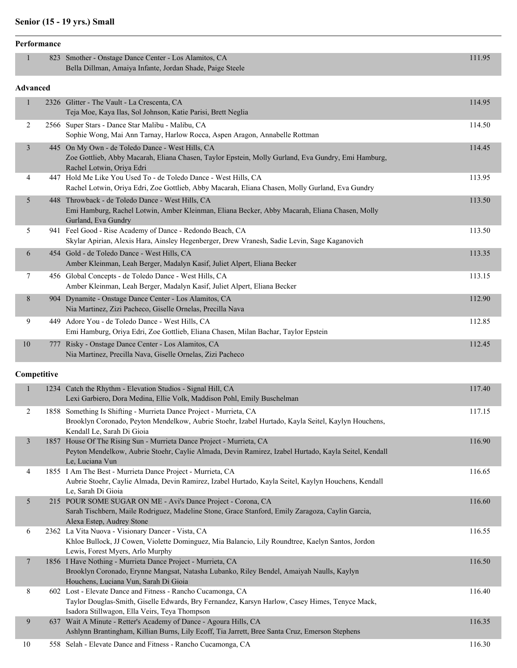## **Senior (15 - 19 yrs.) Small**

|                 | Performance |                                                                                                                                                                                                                |        |
|-----------------|-------------|----------------------------------------------------------------------------------------------------------------------------------------------------------------------------------------------------------------|--------|
| 1               |             | 823 Smother - Onstage Dance Center - Los Alamitos, CA<br>Bella Dillman, Amaiya Infante, Jordan Shade, Paige Steele                                                                                             | 111.95 |
| <b>Advanced</b> |             |                                                                                                                                                                                                                |        |
| 1               |             | 2326 Glitter - The Vault - La Crescenta, CA<br>Teja Moe, Kaya Ilas, Sol Johnson, Katie Parisi, Brett Neglia                                                                                                    | 114.95 |
| 2               |             | 2566 Super Stars - Dance Star Malibu - Malibu, CA<br>Sophie Wong, Mai Ann Tarnay, Harlow Rocca, Aspen Aragon, Annabelle Rottman                                                                                | 114.50 |
| $\mathfrak{Z}$  |             | 445 On My Own - de Toledo Dance - West Hills, CA<br>Zoe Gottlieb, Abby Macarah, Eliana Chasen, Taylor Epstein, Molly Gurland, Eva Gundry, Emi Hamburg,<br>Rachel Lotwin, Oriya Edri                            | 114.45 |
| 4               |             | 447 Hold Me Like You Used To - de Toledo Dance - West Hills, CA<br>Rachel Lotwin, Oriya Edri, Zoe Gottlieb, Abby Macarah, Eliana Chasen, Molly Gurland, Eva Gundry                                             | 113.95 |
| 5               |             | 448 Throwback - de Toledo Dance - West Hills, CA<br>Emi Hamburg, Rachel Lotwin, Amber Kleinman, Eliana Becker, Abby Macarah, Eliana Chasen, Molly<br>Gurland, Eva Gundry                                       | 113.50 |
| 5               |             | 941 Feel Good - Rise Academy of Dance - Redondo Beach, CA<br>Skylar Apirian, Alexis Hara, Ainsley Hegenberger, Drew Vranesh, Sadie Levin, Sage Kaganovich                                                      | 113.50 |
| 6               |             | 454 Gold - de Toledo Dance - West Hills, CA<br>Amber Kleinman, Leah Berger, Madalyn Kasif, Juliet Alpert, Eliana Becker                                                                                        | 113.35 |
| 7               |             | 456 Global Concepts - de Toledo Dance - West Hills, CA<br>Amber Kleinman, Leah Berger, Madalyn Kasif, Juliet Alpert, Eliana Becker                                                                             | 113.15 |
| 8               |             | 904 Dynamite - Onstage Dance Center - Los Alamitos, CA<br>Nia Martinez, Zizi Pacheco, Giselle Ornelas, Precilla Nava                                                                                           | 112.90 |
| 9               |             | 449 Adore You - de Toledo Dance - West Hills, CA<br>Emi Hamburg, Oriya Edri, Zoe Gottlieb, Eliana Chasen, Milan Bachar, Taylor Epstein                                                                         | 112.85 |
| 10              | 777         | Risky - Onstage Dance Center - Los Alamitos, CA<br>Nia Martinez, Precilla Nava, Giselle Ornelas, Zizi Pacheco                                                                                                  | 112.45 |
| Competitive     |             |                                                                                                                                                                                                                |        |
| $\mathbf{1}$    |             | 1234 Catch the Rhythm - Elevation Studios - Signal Hill, CA<br>Lexi Garbiero, Dora Medina, Ellie Volk, Maddison Pohl, Emily Buschelman                                                                         | 117.40 |
| 2               |             | 1858 Something Is Shifting - Murrieta Dance Project - Murrieta, CA<br>Brooklyn Coronado, Peyton Mendelkow, Aubrie Stoehr, Izabel Hurtado, Kayla Seitel, Kaylyn Houchens,<br>Kendall Le, Sarah Di Gioia         | 117.15 |
| $\mathfrak{Z}$  |             | 1857 House Of The Rising Sun - Murrieta Dance Project - Murrieta, CA<br>Peyton Mendelkow, Aubrie Stoehr, Caylie Almada, Devin Ramirez, Izabel Hurtado, Kayla Seitel, Kendall<br>Le, Luciana Vun                | 116.90 |
| 4               |             | 1855 I Am The Best - Murrieta Dance Project - Murrieta, CA<br>Aubrie Stoehr, Caylie Almada, Devin Ramirez, Izabel Hurtado, Kayla Seitel, Kaylyn Houchens, Kendall<br>Le, Sarah Di Gioia                        | 116.65 |
| 5               |             | 215 POUR SOME SUGAR ON ME - Avi's Dance Project - Corona, CA<br>Sarah Tischbern, Maile Rodriguez, Madeline Stone, Grace Stanford, Emily Zaragoza, Caylin Garcia,<br>Alexa Estep, Audrey Stone                  | 116.60 |
| 6               |             | 2362 La Vita Nuova - Visionary Dancer - Vista, CA<br>Khloe Bullock, JJ Cowen, Violette Dominguez, Mia Balancio, Lily Roundtree, Kaelyn Santos, Jordon<br>Lewis, Forest Myers, Arlo Murphy                      | 116.55 |
| $\overline{7}$  |             | 1856 I Have Nothing - Murrieta Dance Project - Murrieta, CA<br>Brooklyn Coronado, Erynne Mangsat, Natasha Lubanko, Riley Bendel, Amaiyah Naulls, Kaylyn<br>Houchens, Luciana Vun, Sarah Di Gioia               | 116.50 |
| 8               |             | 602 Lost - Elevate Dance and Fitness - Rancho Cucamonga, CA<br>Taylor Douglas-Smith, Giselle Edwards, Bry Fernandez, Karsyn Harlow, Casey Himes, Tenyce Mack,<br>Isadora Stillwagon, Ella Veirs, Teya Thompson | 116.40 |
| 9               |             | 637 Wait A Minute - Retter's Academy of Dance - Agoura Hills, CA<br>Ashlynn Brantingham, Killian Burns, Lily Ecoff, Tia Jarrett, Bree Santa Cruz, Emerson Stephens                                             | 116.35 |
|                 |             |                                                                                                                                                                                                                |        |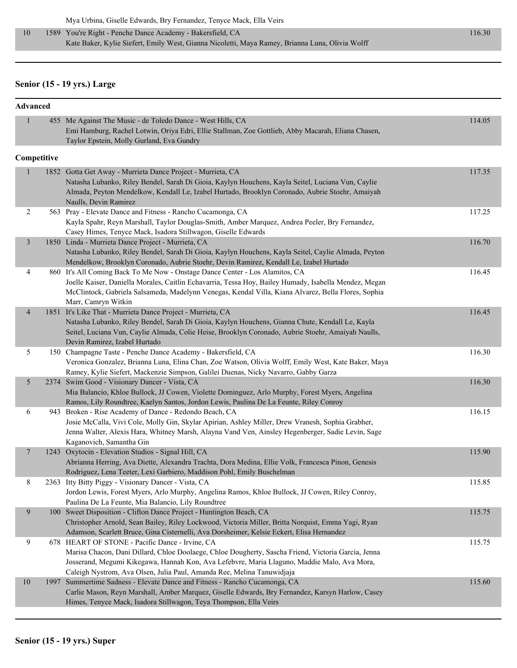## **Senior (15 - 19 yrs.) Large**

|                | Advanced |                                                                                                                                                                                                                                                                                                                                 |        |  |  |  |
|----------------|----------|---------------------------------------------------------------------------------------------------------------------------------------------------------------------------------------------------------------------------------------------------------------------------------------------------------------------------------|--------|--|--|--|
| $\mathbf{1}$   |          | 455 Me Against The Music - de Toledo Dance - West Hills, CA<br>Emi Hamburg, Rachel Lotwin, Oriya Edri, Ellie Stallman, Zoe Gottlieb, Abby Macarah, Eliana Chasen,<br>Taylor Epstein, Molly Gurland, Eva Gundry                                                                                                                  | 114.05 |  |  |  |
| Competitive    |          |                                                                                                                                                                                                                                                                                                                                 |        |  |  |  |
| $\mathbf{1}$   |          | 1852 Gotta Get Away - Murrieta Dance Project - Murrieta, CA<br>Natasha Lubanko, Riley Bendel, Sarah Di Gioia, Kaylyn Houchens, Kayla Seitel, Luciana Vun, Caylie<br>Almada, Peyton Mendelkow, Kendall Le, Izabel Hurtado, Brooklyn Coronado, Aubrie Stoehr, Amaiyah<br>Naulls, Devin Ramirez                                    | 117.35 |  |  |  |
| $\overline{c}$ |          | 563 Pray - Elevate Dance and Fitness - Rancho Cucamonga, CA<br>Kayla Spahr, Reyn Marshall, Taylor Douglas-Smith, Amber Marquez, Andrea Peeler, Bry Fernandez,<br>Casey Himes, Tenyce Mack, Isadora Stillwagon, Giselle Edwards                                                                                                  | 117.25 |  |  |  |
| 3              |          | 1850 Linda - Murrieta Dance Project - Murrieta, CA<br>Natasha Lubanko, Riley Bendel, Sarah Di Gioia, Kaylyn Houchens, Kayla Seitel, Caylie Almada, Peyton<br>Mendelkow, Brooklyn Coronado, Aubrie Stoehr, Devin Ramirez, Kendall Le, Izabel Hurtado                                                                             | 116.70 |  |  |  |
| 4              |          | 860 It's All Coming Back To Me Now - Onstage Dance Center - Los Alamitos, CA<br>Joelle Kaiser, Daniella Morales, Caitlin Echavarria, Tessa Hoy, Bailey Humady, Isabella Mendez, Megan<br>McClintock, Gabriela Salsameda, Madelynn Venegas, Kendal Villa, Kiana Alvarez, Bella Flores, Sophia<br>Marr, Camryn Witkin             | 116.45 |  |  |  |
| $\overline{4}$ |          | 1851 It's Like That - Murrieta Dance Project - Murrieta, CA<br>Natasha Lubanko, Riley Bendel, Sarah Di Gioia, Kaylyn Houchens, Gianna Chute, Kendall Le, Kayla<br>Seitel, Luciana Vun, Caylie Almada, Colie Heise, Brooklyn Coronado, Aubrie Stoehr, Amaiyah Naulls,<br>Devin Ramirez, Izabel Hurtado                           | 116.45 |  |  |  |
| 5              |          | 150 Champagne Taste - Penche Dance Academy - Bakersfield, CA<br>Veronica Gonzalez, Brianna Luna, Elina Chan, Zoe Watson, Olivia Wolff, Emily West, Kate Baker, Maya<br>Ramey, Kylie Siefert, Mackenzie Simpson, Galilei Duenas, Nicky Navarro, Gabby Garza                                                                      | 116.30 |  |  |  |
| 5              |          | 2374 Swim Good - Visionary Dancer - Vista, CA<br>Mia Balancio, Khloe Bullock, JJ Cowen, Violette Dominguez, Arlo Murphy, Forest Myers, Angelina<br>Ramos, Lily Roundtree, Kaelyn Santos, Jordon Lewis, Paulina De La Feunte, Riley Conroy                                                                                       | 116.30 |  |  |  |
| 6              |          | 943 Broken - Rise Academy of Dance - Redondo Beach, CA<br>Josie McCalla, Vivi Cole, Molly Gin, Skylar Apirian, Ashley Miller, Drew Vranesh, Sophia Grabher,<br>Jenna Walter, Alexis Hara, Whitney Marsh, Alayna Vand Ven, Ainsley Hegenberger, Sadie Levin, Sage<br>Kaganovich, Samantha Gin                                    | 116.15 |  |  |  |
| 7              |          | 1243 Oxytocin - Elevation Studios - Signal Hill, CA<br>Abrianna Herring, Ava Diette, Alexandra Trachta, Dora Medina, Ellie Volk, Francesca Pinon, Genesis<br>Rodriguez, Lena Teeter, Lexi Garbiero, Maddison Pohl, Emily Buschelman                                                                                             | 115.90 |  |  |  |
| 8              |          | 2363 Itty Bitty Piggy - Visionary Dancer - Vista, CA<br>Jordon Lewis, Forest Myers, Arlo Murphy, Angelina Ramos, Khloe Bullock, JJ Cowen, Riley Conroy,<br>Paulina De La Feunte, Mia Balancio, Lily Roundtree                                                                                                                   | 115.85 |  |  |  |
| 9              |          | 100 Sweet Disposition - Clifton Dance Project - Huntington Beach, CA<br>Christopher Arnold, Sean Bailey, Riley Lockwood, Victoria Miller, Britta Norquist, Emma Yagi, Ryan<br>Adamson, Scarlett Bruce, Gina Cisternelli, Ava Dorsheimer, Kelsie Eckert, Elisa Hernandez                                                         | 115.75 |  |  |  |
| 9              |          | 678 HEART OF STONE - Pacific Dance - Irvine, CA<br>Marisa Chacon, Dani Dillard, Chloe Doolaege, Chloe Dougherty, Sascha Friend, Victoria Garcia, Jenna<br>Josserand, Megumi Kikegawa, Hannah Kon, Ava Lefebvre, Maria Llaguno, Maddie Malo, Ava Mora,<br>Caleigh Nystrom, Ava Olsen, Julia Paul, Amanda Ree, Melina Tanuwidjaja | 115.75 |  |  |  |
| $10\,$         |          | 1997 Summertime Sadness - Elevate Dance and Fitness - Rancho Cucamonga, CA<br>Carlie Mason, Reyn Marshall, Amber Marquez, Giselle Edwards, Bry Fernandez, Karsyn Harlow, Casey<br>Himes, Tenyce Mack, Isadora Stillwagon, Teya Thompson, Ella Veirs                                                                             | 115.60 |  |  |  |